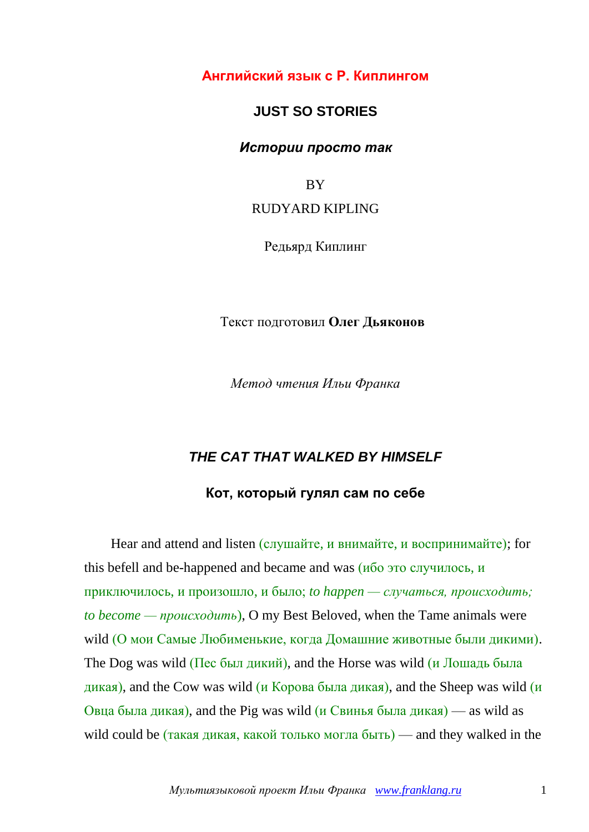**Английский язык с Р. Киплингом**

## **JUST SO STORIES**

### *Истории просто так*

**BY** 

### RUDYARD KIPLING

Редьярд Киплинг

### Текст подготовил **Олег Дьяконов**

*Метод чтения Ильи Франка*

# *THE CAT THAT WALKED BY HIMSELF* **Кот, который гулял сам по себе**

Hear and attend and listen (слушайте, и внимайте, и воспринимайте); for this befell and be-happened and became and was  $(\overline{u}$   $\overline{v}$   $\overline{v}$   $\overline{v}$   $\overline{v}$   $\overline{v}$   $\overline{v}$   $\overline{v}$   $\overline{v}$   $\overline{v}$   $\overline{v}$   $\overline{v}$   $\overline{v}$   $\overline{v}$   $\overline{v}$   $\overline{v}$   $\overline{v}$   $\overline{v}$   $\overline{v}$   $\$ приключилось, и произошло, и было; *to happen — случаться, происходить; to become — происходить*), O my Best Beloved, when the Tame animals were wild (О мои Самые Любименькие, когда Домашние животные были дикими). The Dog was wild (Пес был дикий), and the Horse was wild (и Лошадь была дикая), and the Cow was wild (и Корова была дикая), and the Sheep was wild (и Овца была дикая), and the Pig was wild  $(\mu$  Свинья была дикая) — as wild as wild could be (такая дикая, какой только могла быть) — and they walked in the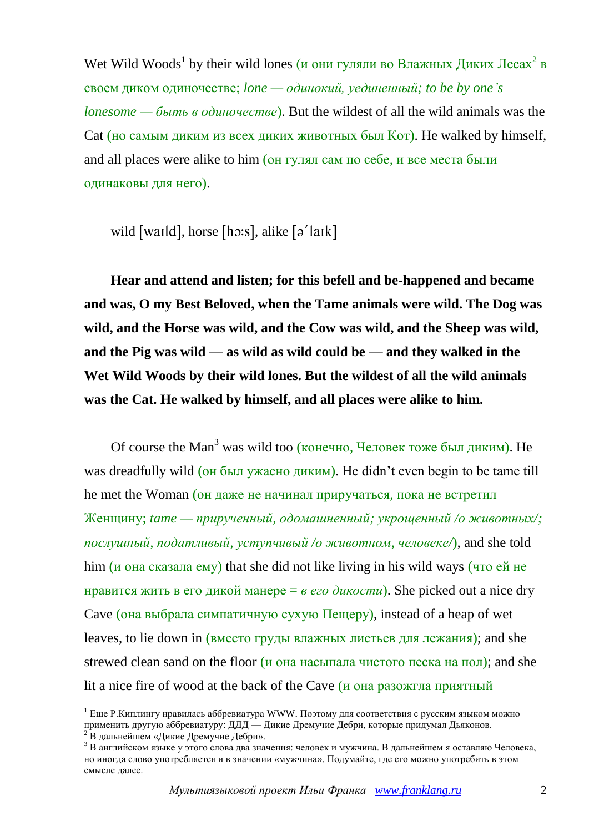Wet Wild Woods<sup>1</sup> by their wild lones (и они гуляли во Влажных Диких Лесах<sup>2</sup> в своем диком одиночестве; *lone — одинокий, уединенный; to be by one's lonesome — быть в одиночестве*). But the wildest of all the wild animals was the Cat (но самым диким из всех диких животных был Кот). He walked by himself, and all places were alike to him (он гулял сам по себе, и все места были одинаковы для него).

wild [waild], horse [h $\sigma$ :s], alike [ $\sigma$ <sup>'</sup>laik]

**Hear and attend and listen; for this befell and be-happened and became and was, O my Best Beloved, when the Tame animals were wild. The Dog was wild, and the Horse was wild, and the Cow was wild, and the Sheep was wild, and the Pig was wild — as wild as wild could be — and they walked in the Wet Wild Woods by their wild lones. But the wildest of all the wild animals was the Cat. He walked by himself, and all places were alike to him.**

Of course the Man<sup>3</sup> was wild too (конечно, Человек тоже был диким). Не was dreadfully wild (он был ужасно диким). He didn't even begin to be tame till he met the Woman (он даже не начинал приручаться, пока не встретил Женщину; *tame — прирученный, одомашненный; укрощенный /о животных/; послушный, податливый, уступчивый /о животном, человеке/*), and she told him (и она сказала ему) that she did not like living in his wild ways (что ей не нравится жить в его дикой манере = *в его дикости*). She picked out a nice dry Cave (она выбрала симпатичную сухую Пещеру), instead of a heap of wet leaves, to lie down in (вместо груды влажных листьев для лежания); and she strewed clean sand on the floor (и она насыпала чистого песка на пол); and she lit a nice fire of wood at the back of the Cave (и она разожгла приятный

<u>.</u>

 $1$  Еще Р.Киплингу нравилась аббревиатура WWW. Поэтому для соответствия с русским языком можно применить другую аббревиатуру: ДДД — Дикие Дремучие Дебри, которые придумал Дьяконов.

 $2\,\text{B}$  дальнейшем «Дикие Дремучие Дебри».

<sup>3</sup> В английском языке у этого слова два значения: человек и мужчина. В дальнейшем я оставляю Человека, но иногда слово употребляется и в значении «мужчина». Подумайте, где его можно употребить в этом смысле далее.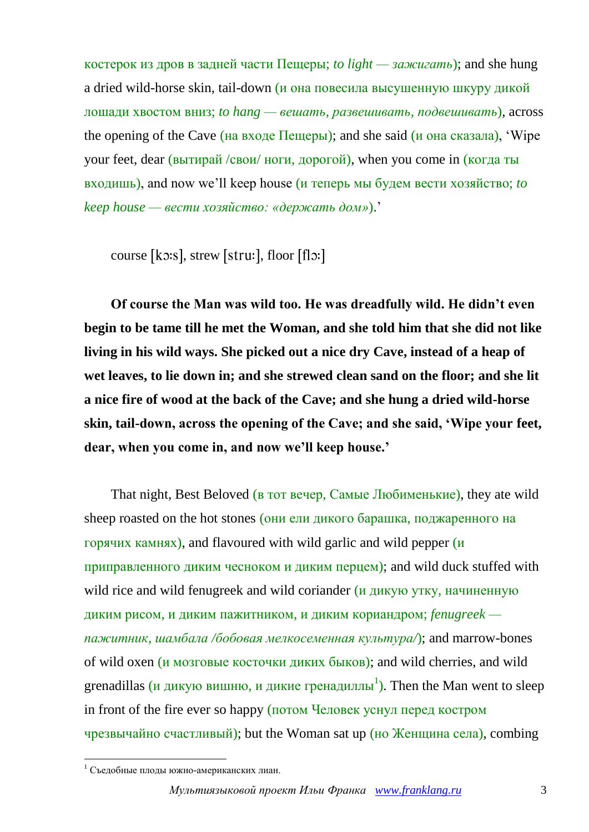костерок из дров в задней части Пещеры; *to light — зажигать*); and she hung a dried wild-horse skin, tail-down (и она повесила высушенную шкуру дикой лошади хвостом вниз; *to hang — вешать, развешивать, подвешивать*), across the opening of the Cave (на входе Пещеры); and she said (и она сказала), 'Wipe your feet, dear (вытирай /свои/ ноги, дорогой), when you come in (когда ты входишь), and now we'll keep house (и теперь мы будем вести хозяйство; *to keep house — вести хозяйство: «держать дом»*).'

course [ko:s], strew [stru:], floor [flo:]

**Of course the Man was wild too. He was dreadfully wild. He didn't even begin to be tame till he met the Woman, and she told him that she did not like living in his wild ways. She picked out a nice dry Cave, instead of a heap of wet leaves, to lie down in; and she strewed clean sand on the floor; and she lit a nice fire of wood at the back of the Cave; and she hung a dried wild-horse skin, tail-down, across the opening of the Cave; and she said, 'Wipe your feet, dear, when you come in, and now we'll keep house.'**

That night, Best Beloved (в тот вечер, Самые Любименькие), they ate wild sheep roasted on the hot stones (они ели дикого барашка, поджаренного на горячих камнях), and flavoured with wild garlic and wild pepper (и приправленного диким чесноком и диким перцем); and wild duck stuffed with wild rice and wild fenugreek and wild coriander (и дикую утку, начиненную диким рисом, и диким пажитником, и диким кориандром; *fenugreek пажитник, шамбала /бобовая мелкосеменная культура/*); and marrow-bones of wild oxen (и мозговые косточки диких быков); and wild cherries, and wild grenadillas (и дикую вишню, и дикие гренадиллы<sup>1</sup>). Then the Man went to sleep in front of the fire ever so happy (потом Человек уснул перед костром чрезвычайно счастливый); but the Woman sat up (но Женщина села), combing

1

 $1$  Съедобные плоды южно-американских лиан.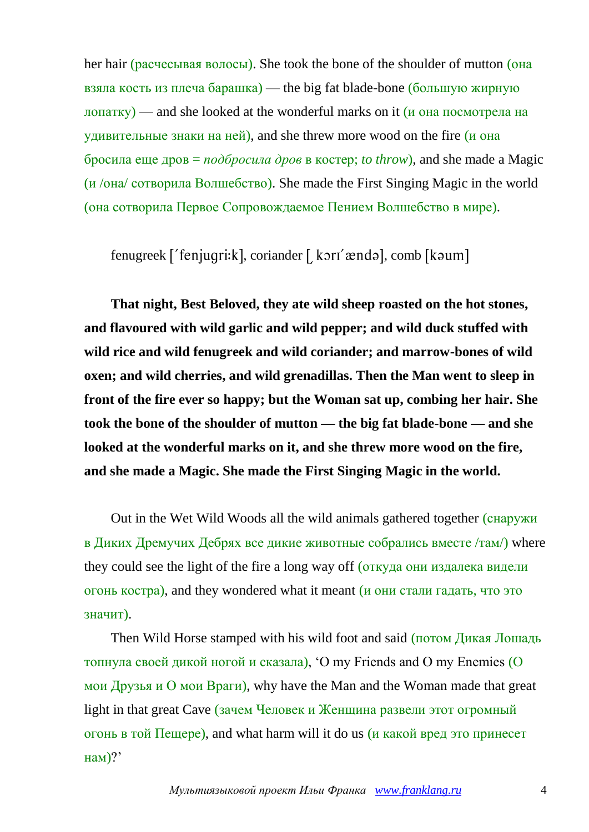her hair (расчесывая волосы). She took the bone of the shoulder of mutton (она взяла кость из плеча барашка) — the big fat blade-bone (большую жирную лопатку) — and she looked at the wonderful marks on it (и она посмотрела на удивительные знаки на ней), and she threw more wood on the fire (и она бросила еще дров = *подбросила дров* в костер; *to throw*), and she made a Magic (и /она/ сотворила Волшебство). She made the First Singing Magic in the world (она сотворила Первое Сопровождаемое Пением Волшебство в мире).

 $f$ enugreek  $f'$ fenjugri:k], coriander  $\int$  kor $f$   $\alpha$ ndə], comb  $\alpha$ [kəum]

**That night, Best Beloved, they ate wild sheep roasted on the hot stones, and flavoured with wild garlic and wild pepper; and wild duck stuffed with wild rice and wild fenugreek and wild coriander; and marrow-bones of wild oxen; and wild cherries, and wild grenadillas. Then the Man went to sleep in front of the fire ever so happy; but the Woman sat up, combing her hair. She took the bone of the shoulder of mutton — the big fat blade-bone — and she looked at the wonderful marks on it, and she threw more wood on the fire, and she made a Magic. She made the First Singing Magic in the world.**

Out in the Wet Wild Woods all the wild animals gathered together (снаружи в Диких Дремучих Дебрях все дикие животные собрались вместе /там/) where they could see the light of the fire a long way off (откуда они издалека видели огонь костра), and they wondered what it meant (и они стали гадать, что это значит).

Then Wild Horse stamped with his wild foot and said (потом Дикая Лошадь топнула своей дикой ногой и сказала), 'O my Friends and O my Enemies (О мои Друзья и О мои Враги), why have the Man and the Woman made that great light in that great Cave (зачем Человек и Женщина развели этот огромный огонь в той Пещере), and what harm will it do us (и какой вред это принесет нам)?'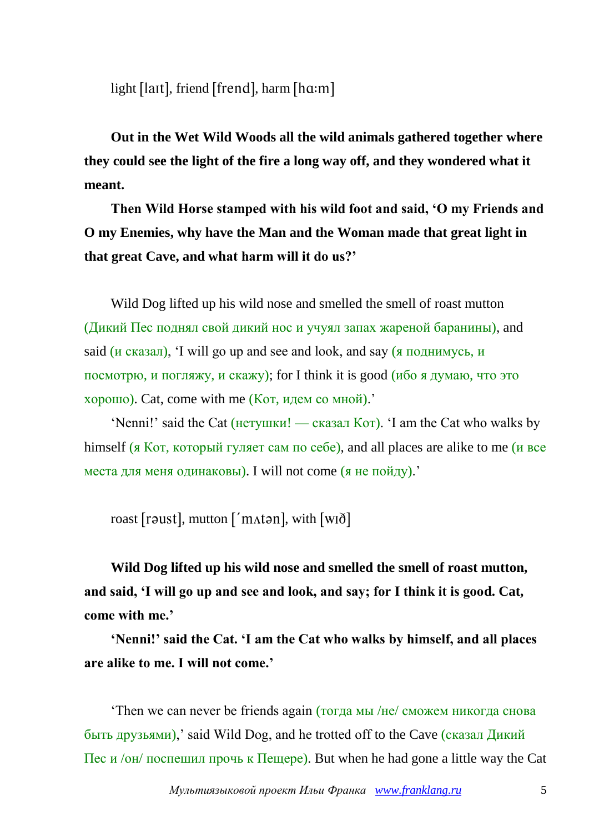light [laɪt], friend [frend], harm [hɑ:m]

**Out in the Wet Wild Woods all the wild animals gathered together where they could see the light of the fire a long way off, and they wondered what it meant.**

**Then Wild Horse stamped with his wild foot and said, 'O my Friends and O my Enemies, why have the Man and the Woman made that great light in that great Cave, and what harm will it do us?'**

Wild Dog lifted up his wild nose and smelled the smell of roast mutton (Дикий Пес поднял свой дикий нос и учуял запах жареной баранины), and said ( $\mu$  сказал), 'I will go up and see and look, and say ( $\pi$  поднимусь,  $\mu$ посмотрю, и погляжу, и скажу); for I think it is good (ибо я думаю, что это хорошо). Cat, come with me (Кот, идем со мной).'

'Nenni!' said the Cat (нетушки! — сказал Кот). 'I am the Cat who walks by himself (я Кот, который гуляет сам по себе), and all places are alike to me (и все места для меня одинаковы). I will not come (я не пойду).'

roast [raust], mutton ['m^^^n^tan], with [wið]

**Wild Dog lifted up his wild nose and smelled the smell of roast mutton, and said, 'I will go up and see and look, and say; for I think it is good. Cat, come with me.'**

**'Nenni!' said the Cat. 'I am the Cat who walks by himself, and all places are alike to me. I will not come.'**

'Then we can never be friends again (тогда мы /не/ сможем никогда снова быть друзьями),' said Wild Dog, and he trotted off to the Cave (сказал Дикий Пес и /он/ поспешил прочь к Пещере). But when he had gone a little way the Cat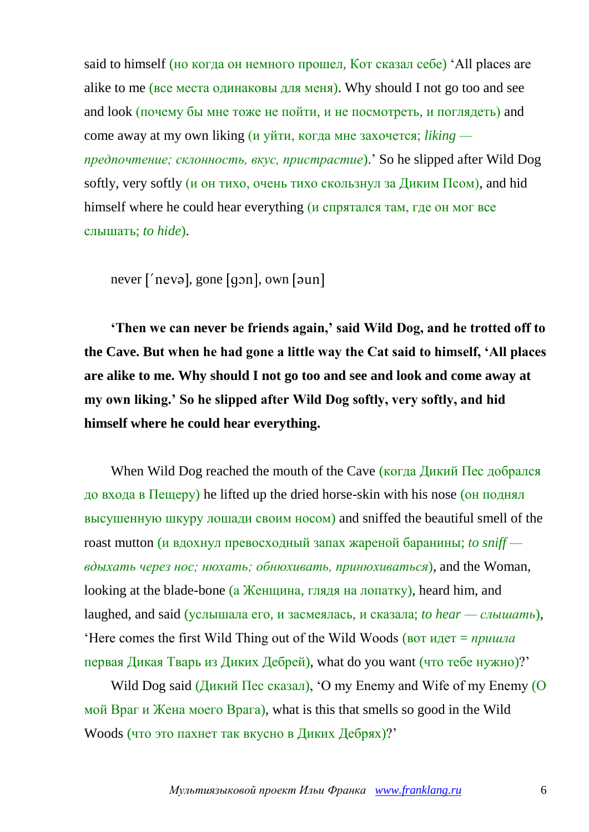said to himself (но когда он немного прошел, Кот сказал себе) 'All places are alike to me (все места одинаковы для меня). Why should I not go too and see and look (почему бы мне тоже не пойти, и не посмотреть, и поглядеть) and come away at my own liking (и уйти, когда мне захочется; *liking предпочтение; склонность, вкус, пристрастие*).' So he slipped after Wild Dog softly, very softly (и он тихо, очень тихо скользнул за Диким Псом), and hid himself where he could hear everything (*и* спрятался там, где он мог все слышать; *to hide*).

 $never$   $['new$ <sup> $]$ </sup>, gone  $[gon]$ , own  $[oun]$ 

**'Then we can never be friends again,' said Wild Dog, and he trotted off to the Cave. But when he had gone a little way the Cat said to himself, 'All places are alike to me. Why should I not go too and see and look and come away at my own liking.' So he slipped after Wild Dog softly, very softly, and hid himself where he could hear everything.**

When Wild Dog reached the mouth of the Cave (когда Дикий Пес добрался до входа в Пещеру) he lifted up the dried horse-skin with his nose (он поднял высушенную шкуру лошади своим носом) and sniffed the beautiful smell of the roast mutton (и вдохнул превосходный запах жареной баранины; *to sniff вдыхать через нос; нюхать; обнюхивать, принюхиваться*), and the Woman, looking at the blade-bone (а Женщина, глядя на лопатку), heard him, and laughed, and said (услышала его, и засмеялась, и сказала; *to hear — слышать*), 'Here comes the first Wild Thing out of the Wild Woods (вот идет = *пришла* первая Дикая Тварь из Диких Дебрей), what do you want (что тебе нужно)?'

Wild Dog said (Дикий Пес сказал), 'O my Enemy and Wife of my Enemy (О мой Враг и Жена моего Врага), what is this that smells so good in the Wild Woods (что это пахнет так вкусно в Диких Дебрях)?'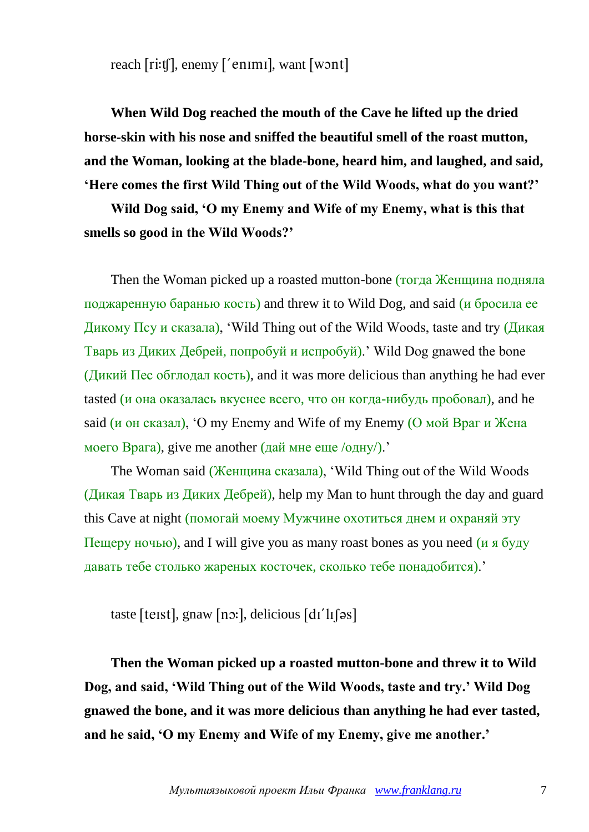reach  $\lceil$ ri:t $\lceil$ , enemy  $\lceil$ 'enimi], want  $\lceil$ w $\lceil$ mininininin

**When Wild Dog reached the mouth of the Cave he lifted up the dried horse-skin with his nose and sniffed the beautiful smell of the roast mutton, and the Woman, looking at the blade-bone, heard him, and laughed, and said, 'Here comes the first Wild Thing out of the Wild Woods, what do you want?'**

**Wild Dog said, 'O my Enemy and Wife of my Enemy, what is this that smells so good in the Wild Woods?'**

Then the Woman picked up a roasted mutton-bone (тогда Женщина подняла поджаренную баранью кость) and threw it to Wild Dog, and said (и бросила ее Дикому Псу и сказала), 'Wild Thing out of the Wild Woods, taste and try (Дикая Тварь из Диких Дебрей, попробуй и испробуй).' Wild Dog gnawed the bone (Дикий Пес обглодал кость), and it was more delicious than anything he had ever tasted (и она оказалась вкуснее всего, что он когда-нибудь пробовал), and he said (и он сказал), 'O my Enemy and Wife of my Enemy (О мой Враг и Жена моего Врага), give me another (дай мне еще  $\langle$ одну $\rangle$ ).

The Woman said (Женщина сказала), 'Wild Thing out of the Wild Woods (Дикая Тварь из Диких Дебрей), help my Man to hunt through the day and guard this Cave at night (помогай моему Мужчине охотиться днем и охраняй эту Пещеру ночью), and I will give you as many roast bones as you need  $(\mu \times 6)$ давать тебе столько жареных косточек, сколько тебе понадобится).'

taste [teɪst], gnaw [nɔ:], delicious  $\left[dr\right]$ 

**Then the Woman picked up a roasted mutton-bone and threw it to Wild Dog, and said, 'Wild Thing out of the Wild Woods, taste and try.' Wild Dog gnawed the bone, and it was more delicious than anything he had ever tasted, and he said, 'O my Enemy and Wife of my Enemy, give me another.'**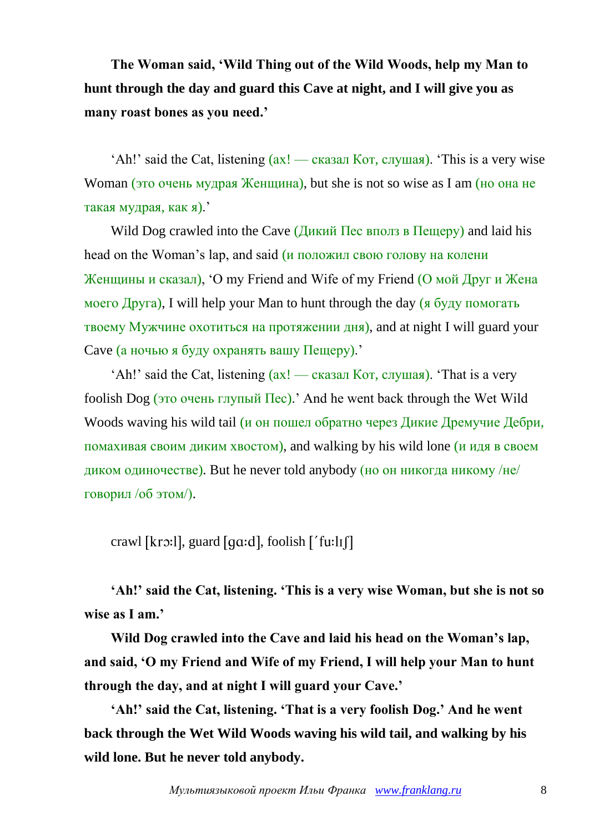**The Woman said, 'Wild Thing out of the Wild Woods, help my Man to hunt through the day and guard this Cave at night, and I will give you as many roast bones as you need.'**

'Ah!' said the Cat, listening (ах! — сказал Кот, слушая). 'This is a very wise Woman (это очень мудрая Женщина), but she is not so wise as I am (но она не такая мудрая, как я).'

Wild Dog crawled into the Cave (Дикий Пес вполз в Пещеру) and laid his head on the Woman's lap, and said (и положил свою голову на колени Женщины и сказал), 'O my Friend and Wife of my Friend (О мой Друг и Жена моего Друга), I will help your Man to hunt through the day (я буду помогать твоему Мужчине охотиться на протяжении дня), and at night I will guard your Cave (а ночью я буду охранять вашу Пещеру).'

'Ah!' said the Cat, listening  $(ax! - c$ казал Кот, слушая). 'That is a very foolish Dog (это очень глупый Пес).' And he went back through the Wet Wild Woods waving his wild tail (и он пошел обратно через Дикие Дремучие Дебри, помахивая своим диким хвостом), and walking by his wild lone (и идя в своем диком одиночестве). But he never told anybody (но он никогда никому /не/ говорил /об этом/).

crawl [krɔ:l], guard [g $a$ :d], foolish ['f $u$ :lɪf]

**'Ah!' said the Cat, listening. 'This is a very wise Woman, but she is not so wise as I am.'**

**Wild Dog crawled into the Cave and laid his head on the Woman's lap, and said, 'O my Friend and Wife of my Friend, I will help your Man to hunt through the day, and at night I will guard your Cave.'**

**'Ah!' said the Cat, listening. 'That is a very foolish Dog.' And he went back through the Wet Wild Woods waving his wild tail, and walking by his wild lone. But he never told anybody.**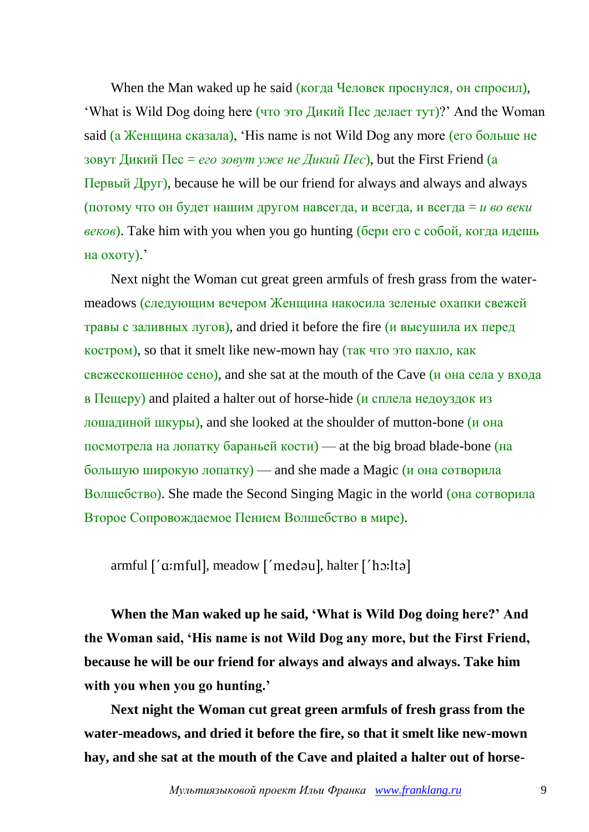When the Man waked up he said (когда Человек проснулся, он спросил), 'What is Wild Dog doing here (что это Дикий Пес делает тут)?' And the Woman said (а Женщина сказала), 'His name is not Wild Dog any more (его больше не зовут Дикий Пес = *его зовут уже не Дикий Пес*), but the First Friend (а Первый Друг), because he will be our friend for always and always and always (потому что он будет нашим другом навсегда, и всегда, и всегда = *и во веки веков*). Take him with you when you go hunting (бери его с собой, когда идешь на охоту).'

Next night the Woman cut great green armfuls of fresh grass from the watermeadows (следующим вечером Женщина накосила зеленые охапки свежей травы с заливных лугов), and dried it before the fire (и высушила их перед костром), so that it smelt like new-mown hay (так что это пахло, как свежескошенное сено), and she sat at the mouth of the Cave (и она села у входа в Пещеру) and plaited a halter out of horse-hide (*и* сплела недоуздок из лошадиной шкуры), and she looked at the shoulder of mutton-bone (и она посмотрела на лопатку бараньей кости) — at the big broad blade-bone (на большую широкую лопатку) — and she made a Magic (и она сотворила Волшебство). She made the Second Singing Magic in the world (она сотворила Второе Сопровождаемое Пением Волшебство в мире).

armful ['a:mful], meadow ['medau], halter ['ho:lta]

**When the Man waked up he said, 'What is Wild Dog doing here?' And the Woman said, 'His name is not Wild Dog any more, but the First Friend, because he will be our friend for always and always and always. Take him with you when you go hunting.'**

**Next night the Woman cut great green armfuls of fresh grass from the water-meadows, and dried it before the fire, so that it smelt like new-mown hay, and she sat at the mouth of the Cave and plaited a halter out of horse-**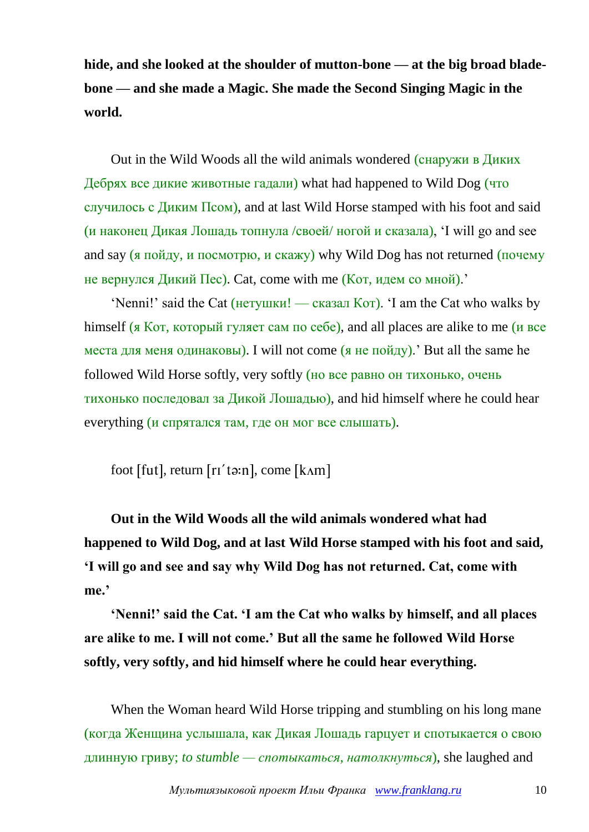**hide, and she looked at the shoulder of mutton-bone — at the big broad bladebone — and she made a Magic. She made the Second Singing Magic in the world.**

Out in the Wild Woods all the wild animals wondered (снаружи в Диких Дебрях все дикие животные гадали) what had happened to Wild Dog (что случилось с Диким Псом), and at last Wild Horse stamped with his foot and said (и наконец Дикая Лошадь топнула /своей/ ногой и сказала), 'I will go and see and say (я пойду, и посмотрю, и скажу) why Wild Dog has not returned (почему не вернулся Дикий Пес). Cat, come with me (Кот, идем со мной).'

'Nenni!' said the Cat (нетушки! — сказал Кот). 'I am the Cat who walks by himself (я Кот, который гуляет сам по себе), and all places are alike to me (и все места для меня одинаковы). I will not come  $(a$  не пойду). But all the same he followed Wild Horse softly, very softly (но все равно он тихонько, очень тихонько последовал за Дикой Лошадью), and hid himself where he could hear everything (и спрятался там, где он мог все слышать).

foot [fut], return  $[ri'tə:n]$ , come  $[k\land m]$ 

**Out in the Wild Woods all the wild animals wondered what had happened to Wild Dog, and at last Wild Horse stamped with his foot and said, 'I will go and see and say why Wild Dog has not returned. Cat, come with me.'**

**'Nenni!' said the Cat. 'I am the Cat who walks by himself, and all places are alike to me. I will not come.' But all the same he followed Wild Horse softly, very softly, and hid himself where he could hear everything.**

When the Woman heard Wild Horse tripping and stumbling on his long mane (когда Женщина услышала, как Дикая Лошадь гарцует и спотыкается о свою длинную гриву; *to stumble — спотыкаться, натолкнуться*), she laughed and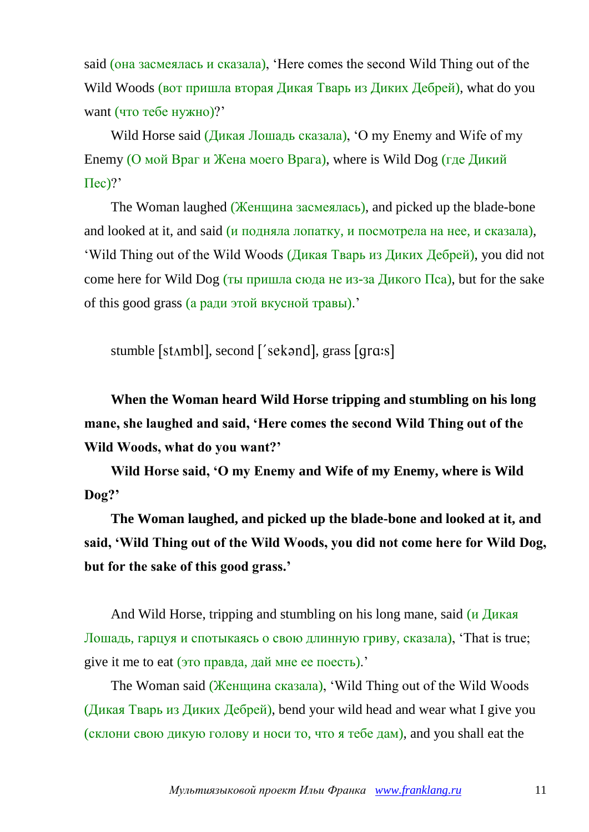said (она засмеялась и сказала), 'Here comes the second Wild Thing out of the Wild Woods (вот пришла вторая Дикая Тварь из Диких Дебрей), what do you want (что тебе нужно)?'

Wild Horse said (Дикая Лошадь сказала), 'O my Enemy and Wife of my Enemy (О мой Враг и Жена моего Врага), where is Wild Dog (где Дикий  $\text{T}$ ес)?'

The Woman laughed (Женщина засмеялась), and picked up the blade-bone and looked at it, and said (*и* подняла лопатку, и посмотрела на нее, и сказала), 'Wild Thing out of the Wild Woods (Дикая Тварь из Диких Дебрей), you did not come here for Wild Dog (ты пришла сюда не из-за Дикого  $\Pi$ ca), but for the sake of this good grass (а ради этой вкусной травы).'

stumble [stʌmbl], second ['sekənd], grass [qrɑ:s]

**When the Woman heard Wild Horse tripping and stumbling on his long mane, she laughed and said, 'Here comes the second Wild Thing out of the Wild Woods, what do you want?'**

**Wild Horse said, 'O my Enemy and Wife of my Enemy, where is Wild Dog?'**

**The Woman laughed, and picked up the blade-bone and looked at it, and said, 'Wild Thing out of the Wild Woods, you did not come here for Wild Dog, but for the sake of this good grass.'**

And Wild Horse, tripping and stumbling on his long mane, said  $\mu$  Дикая Лошадь, гарцуя и спотыкаясь о свою длинную гриву, сказала), 'That is true; give it me to eat (это правда, дай мне ее поесть).'

The Woman said (Женщина сказала), 'Wild Thing out of the Wild Woods (Дикая Тварь из Диких Дебрей), bend your wild head and wear what I give you (склони свою дикую голову и носи то, что я тебе дам), and you shall eat the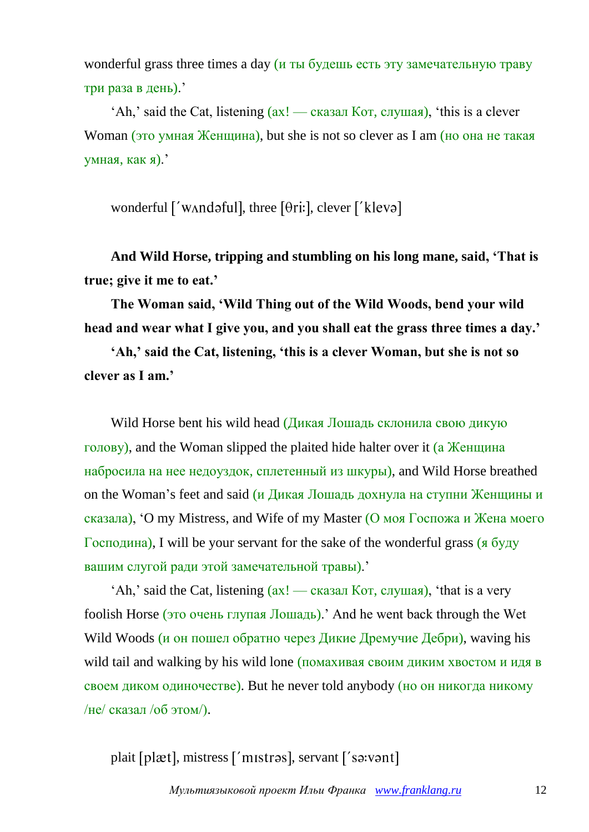wonderful grass three times a day  $(u \tau_{\text{H}})$  будешь есть эту замечательную траву три раза в день).'

'Ah,' said the Cat, listening (ах! — сказал Кот, слушая), 'this is a clever Woman (это умная Женщина), but she is not so clever as I am (но она не такая умная, как я).'

wonderful ['wʌndəful], three [ $\theta$ ri:], clever ['klevə]

**And Wild Horse, tripping and stumbling on his long mane, said, 'That is true; give it me to eat.'**

**The Woman said, 'Wild Thing out of the Wild Woods, bend your wild head and wear what I give you, and you shall eat the grass three times a day.'**

**'Ah,' said the Cat, listening, 'this is a clever Woman, but she is not so clever as I am.'**

Wild Horse bent his wild head (Дикая Лошадь склонила свою дикую голову), and the Woman slipped the plaited hide halter over it (а Женщина набросила на нее недоуздок, сплетенный из шкуры), and Wild Horse breathed on the Woman's feet and said (и Дикая Лошадь дохнула на ступни Женщины и сказала), 'O my Mistress, and Wife of my Master (О моя Госпожа и Жена моего Господина), I will be your servant for the sake of the wonderful grass (я буду вашим слугой ради этой замечательной травы).'

'Ah,' said the Cat, listening  $(ax! - c$ казал Кот, слушая), 'that is a very foolish Horse (это очень глупая Лошадь).' And he went back through the Wet Wild Woods (и он пошел обратно через Дикие Дремучие Дебри), waving his wild tail and walking by his wild lone (помахивая своим диким хвостом и идя в своем диком одиночестве). But he never told anybody (но он никогда никому /не/ сказал /об этом/).

plait [plæt], mistress ['mistras], servant ['sa:vant]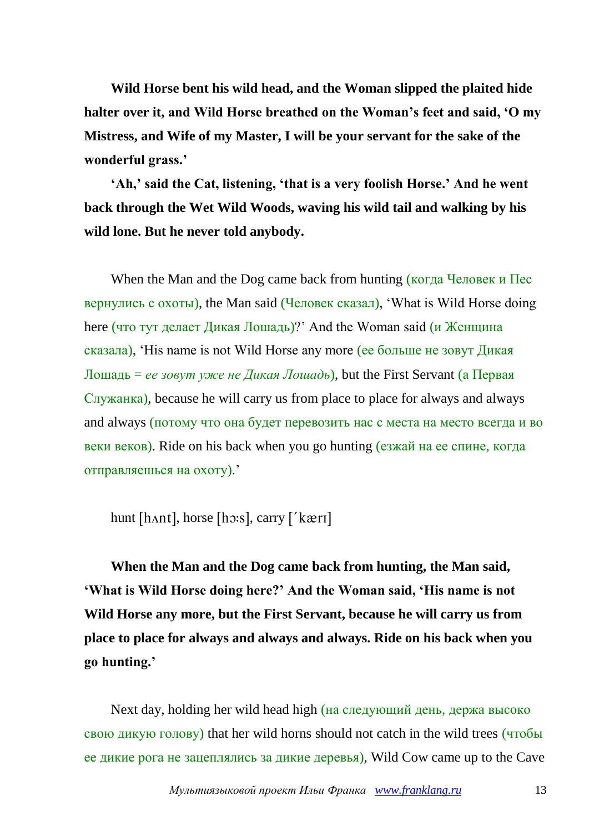**Wild Horse bent his wild head, and the Woman slipped the plaited hide halter over it, and Wild Horse breathed on the Woman's feet and said, 'O my Mistress, and Wife of my Master, I will be your servant for the sake of the wonderful grass.'**

**'Ah,' said the Cat, listening, 'that is a very foolish Horse.' And he went back through the Wet Wild Woods, waving his wild tail and walking by his wild lone. But he never told anybody.**

When the Man and the Dog came back from hunting (когда Человек и Пес вернулись с охоты), the Man said (Человек сказал), 'What is Wild Horse doing here (что тут делает Дикая Лошадь)?' And the Woman said (и Женщина сказала), 'His name is not Wild Horse any more (ее больше не зовут Дикая Лошадь = *ее зовут уже не Дикая Лошадь*), but the First Servant (а Первая Служанка), because he will carry us from place to place for always and always and always (потому что она будет перевозить нас с места на место всегда и во веки веков). Ride on his back when you go hunting (езжай на ее спине, когда отправляешься на охоту).'

hunt [hʌnt], horse [hɔːs], carry ['kærɪ]

**When the Man and the Dog came back from hunting, the Man said, 'What is Wild Horse doing here?' And the Woman said, 'His name is not Wild Horse any more, but the First Servant, because he will carry us from place to place for always and always and always. Ride on his back when you go hunting.'**

Next day, holding her wild head high (на следующий день, держа высоко свою дикую голову) that her wild horns should not catch in the wild trees (чтобы ее дикие рога не зацеплялись за дикие деревья), Wild Cow came up to the Cave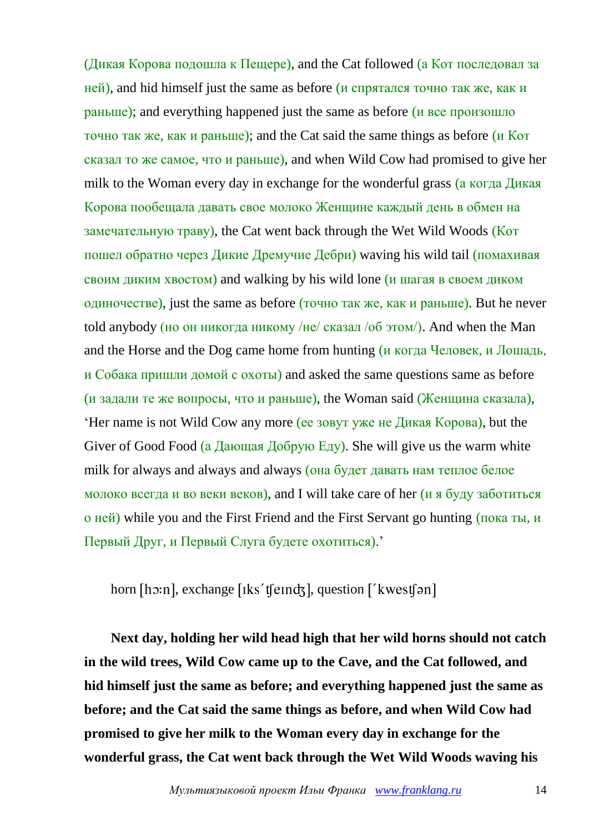(Дикая Корова подошла к Пещере), and the Cat followed (а Кот последовал за ней), and hid himself just the same as before (и спрятался точно так же, как и раньше); and everything happened just the same as before (и все произошло точно так же, как и раньше); and the Cat said the same things as before (и Кот сказал то же самое, что и раньше), and when Wild Cow had promised to give her milk to the Woman every day in exchange for the wonderful grass (а когда Дикая Корова пообещала давать свое молоко Женщине каждый день в обмен на замечательную траву), the Cat went back through the Wet Wild Woods (Кот пошел обратно через Дикие Дремучие Дебри) waving his wild tail (помахивая своим диким хвостом) and walking by his wild lone (и шагая в своем диком одиночестве), just the same as before (точно так же, как и раньше). But he never told anybody (но он никогда никому /не/ сказал /об этом/). And when the Man and the Horse and the Dog came home from hunting (и когда Человек, и Лошадь, и Собака пришли домой с охоты) and asked the same questions same as before (и задали те же вопросы, что и раньше), the Woman said (Женщина сказала), 'Her name is not Wild Cow any more (ее зовут уже не Дикая Корова), but the Giver of Good Food (а Дающая Добрую  $E_{\rm IV}$ ). She will give us the warm white milk for always and always and always (она будет давать нам теплое белое молоко всегда и во веки веков), and I will take care of her (и я буду заботиться о ней) while you and the First Friend and the First Servant go hunting (пока ты, и Первый Друг, и Первый Слуга будете охотиться).'

horn [hɔːn], exchange [ɪks't[eɪndʒ], question ['kwest[ən]

**Next day, holding her wild head high that her wild horns should not catch in the wild trees, Wild Cow came up to the Cave, and the Cat followed, and hid himself just the same as before; and everything happened just the same as before; and the Cat said the same things as before, and when Wild Cow had promised to give her milk to the Woman every day in exchange for the wonderful grass, the Cat went back through the Wet Wild Woods waving his**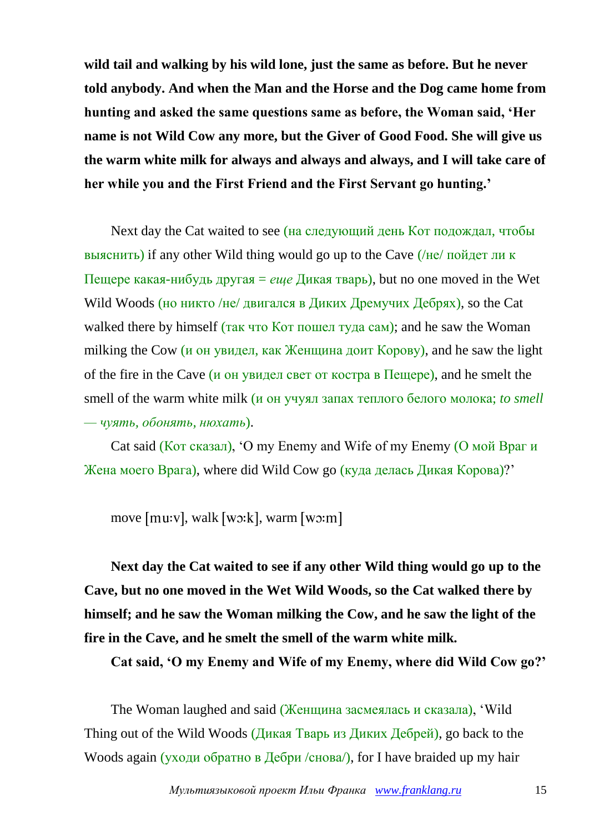**wild tail and walking by his wild lone, just the same as before. But he never told anybody. And when the Man and the Horse and the Dog came home from hunting and asked the same questions same as before, the Woman said, 'Her name is not Wild Cow any more, but the Giver of Good Food. She will give us the warm white milk for always and always and always, and I will take care of her while you and the First Friend and the First Servant go hunting.'**

Next day the Cat waited to see (на следующий день Кот подождал, чтобы выяснить) if any other Wild thing would go up to the Cave (/не/ пойдет ли к Пещере какая-нибудь другая = *еще* Дикая тварь), but no one moved in the Wet Wild Woods (но никто /не/ двигался в Диких Дремучих Дебрях), so the Cat walked there by himself (так что Кот пошел туда сам); and he saw the Woman milking the Cow (и он увидел, как Женщина доит Корову), and he saw the light of the fire in the Cave (*и* он увидел свет от костра в  $\Gamma$  Eugepe), and he smelt the smell of the warm white milk (и он учуял запах теплого белого молока; *to smell — чуять, обонять, нюхать*).

Cat said (Кот сказал), 'O my Enemy and Wife of my Enemy (О мой Враг и Жена моего Врага), where did Wild Cow go (куда делась Дикая Корова)?'

move  $[mu:v]$ , walk  $[wv:k]$ , warm  $[wv:m]$ 

**Next day the Cat waited to see if any other Wild thing would go up to the Cave, but no one moved in the Wet Wild Woods, so the Cat walked there by himself; and he saw the Woman milking the Cow, and he saw the light of the fire in the Cave, and he smelt the smell of the warm white milk.**

**Cat said, 'O my Enemy and Wife of my Enemy, where did Wild Cow go?'**

The Woman laughed and said (Женщина засмеялась и сказала), 'Wild Thing out of the Wild Woods (Дикая Тварь из Диких Дебрей), go back to the Woods again (уходи обратно в Дебри /снова/), for I have braided up my hair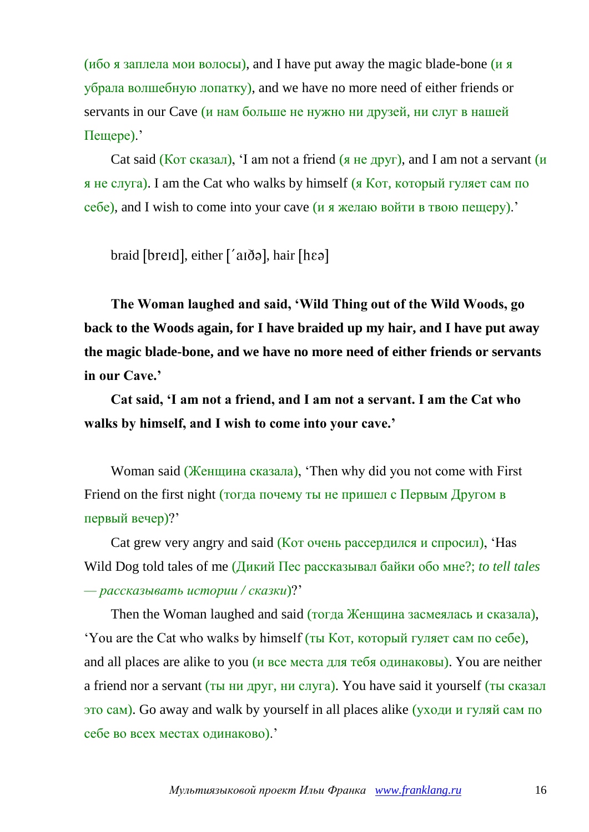(ибо я заплела мои волосы), and I have put away the magic blade-bone (и я убрала волшебную лопатку), and we have no more need of either friends or servants in our Cave (и нам больше не нужно ни друзей, ни слуг в нашей Пещере).'

Cat said (Кот сказал), 'I am not a friend (я не друг), and I am not a servant (и я не слуга). I am the Cat who walks by himself (я Кот, который гуляет сам по  $ce6e$ , and I wish to come into your cave (*и я* желаю войти в твою пещеру).'

braid [breid], either ['aid a], hair [hɛə]

**The Woman laughed and said, 'Wild Thing out of the Wild Woods, go back to the Woods again, for I have braided up my hair, and I have put away the magic blade-bone, and we have no more need of either friends or servants in our Cave.'**

**Cat said, 'I am not a friend, and I am not a servant. I am the Cat who walks by himself, and I wish to come into your cave.'**

Woman said (Женщина сказала), 'Then why did you not come with First Friend on the first night (тогда почему ты не пришел с Первым Другом в первый вечер)?'

Cat grew very angry and said (Кот очень рассердился и спросил), 'Has Wild Dog told tales of me (Дикий Пес рассказывал байки обо мне?; *to tell tales — рассказывать истории / сказки*)?'

Then the Woman laughed and said (тогда Женщина засмеялась и сказала), 'You are the Cat who walks by himself (ты Кот, который гуляет сам по себе), and all places are alike to you (и все места для тебя одинаковы). You are neither a friend nor a servant (ты ни друг, ни слуга). You have said it yourself (ты сказал это сам). Go away and walk by yourself in all places alike (уходи и гуляй сам по себе во всех местах одинаково).'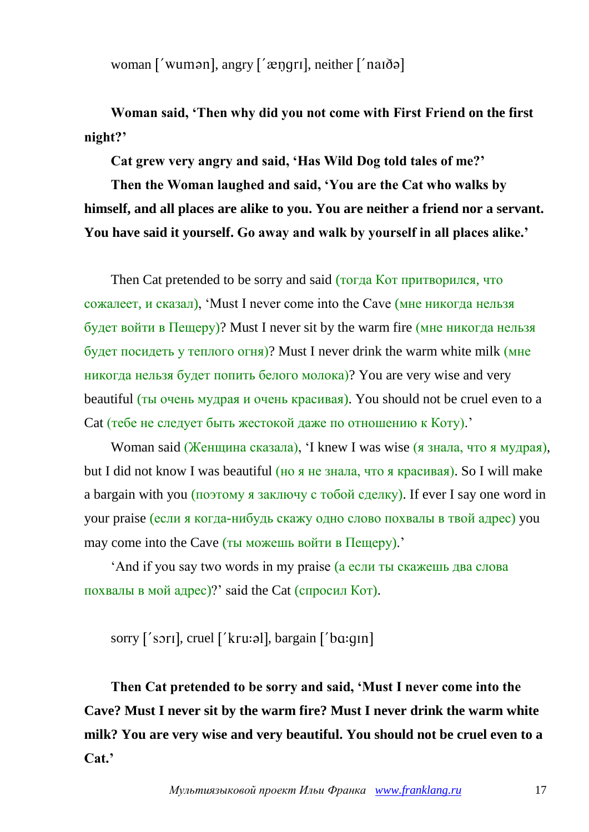woman  $\lceil \nu \rangle$  wuman, angry  $\lceil \nu \rangle$  angry  $\lceil \nu \rangle$  neither  $\lceil \nu \rangle$  nanded

**Woman said, 'Then why did you not come with First Friend on the first night?'**

**Cat grew very angry and said, 'Has Wild Dog told tales of me?'**

**Then the Woman laughed and said, 'You are the Cat who walks by himself, and all places are alike to you. You are neither a friend nor a servant. You have said it yourself. Go away and walk by yourself in all places alike.'**

Then Cat pretended to be sorry and said (тогда Кот притворился, что сожалеет, и сказал), 'Must I never come into the Cave (мне никогда нельзя будет войти в Пещеру)? Must I never sit by the warm fire (мне никогда нельзя будет посидеть у теплого огня)? Must I never drink the warm white milk (мне никогда нельзя будет попить белого молока)? You are very wise and very beautiful (ты очень мудрая и очень красивая). You should not be cruel even to a Cat (тебе не следует быть жестокой даже по отношению к Коту).'

Woman said (Женщина сказала), 'I knew I was wise (я знала, что я мудрая), but I did not know I was beautiful (но я не знала, что я красивая). So I will make a bargain with you (поэтому я заключу с тобой сделку). If ever I say one word in your praise (если я когда-нибудь скажу одно слово похвалы в твой адрес) you may come into the Cave (ты можешь войти в Пещеру).'

'And if you say two words in my praise (а если ты скажешь два слова похвалы в мой адрес)?' said the Cat (спросил Кот).

sorry ['sori], cruel ['kru:al], bargain ['bɑ:qin]

**Then Cat pretended to be sorry and said, 'Must I never come into the Cave? Must I never sit by the warm fire? Must I never drink the warm white milk? You are very wise and very beautiful. You should not be cruel even to a Cat.'**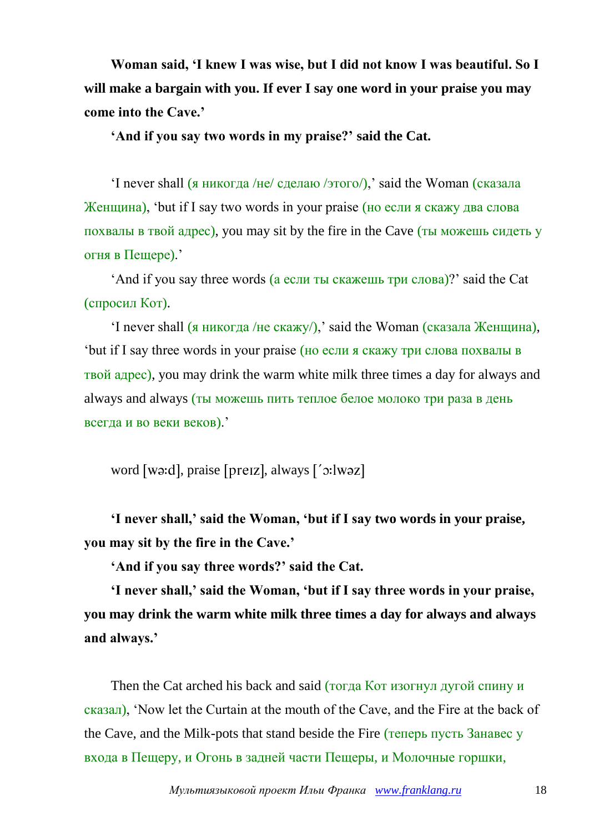**Woman said, 'I knew I was wise, but I did not know I was beautiful. So I will make a bargain with you. If ever I say one word in your praise you may come into the Cave.'**

**'And if you say two words in my praise?' said the Cat.**

'I never shall (я никогда /не/ сделаю /этого/),' said the Woman (сказала Женщина), 'but if I say two words in your praise (но если я скажу два слова похвалы в твой адрес), you may sit by the fire in the Cave (ты можешь сидеть у огня в Пещере).'

'And if you say three words (а если ты скажешь три слова)?' said the Cat (спросил Кот).

'I never shall (я никогда /не скажу/),' said the Woman (сказала Женщина), 'but if I say three words in your praise (но если я скажу три слова похвалы в твой адрес), you may drink the warm white milk three times a day for always and always and always (ты можешь пить теплое белое молоко три раза в день всегда и во веки веков).'

word [wa:d], praise [preiz], always ['c:lwaz]

**'I never shall,' said the Woman, 'but if I say two words in your praise, you may sit by the fire in the Cave.'**

**'And if you say three words?' said the Cat.**

**'I never shall,' said the Woman, 'but if I say three words in your praise, you may drink the warm white milk three times a day for always and always and always.'**

Then the Cat arched his back and said (тогда Кот изогнул дугой спину и сказал), 'Now let the Curtain at the mouth of the Cave, and the Fire at the back of the Cave, and the Milk-pots that stand beside the Fire (теперь пусть Занавес у входа в Пещеру, и Огонь в задней части Пещеры, и Молочные горшки,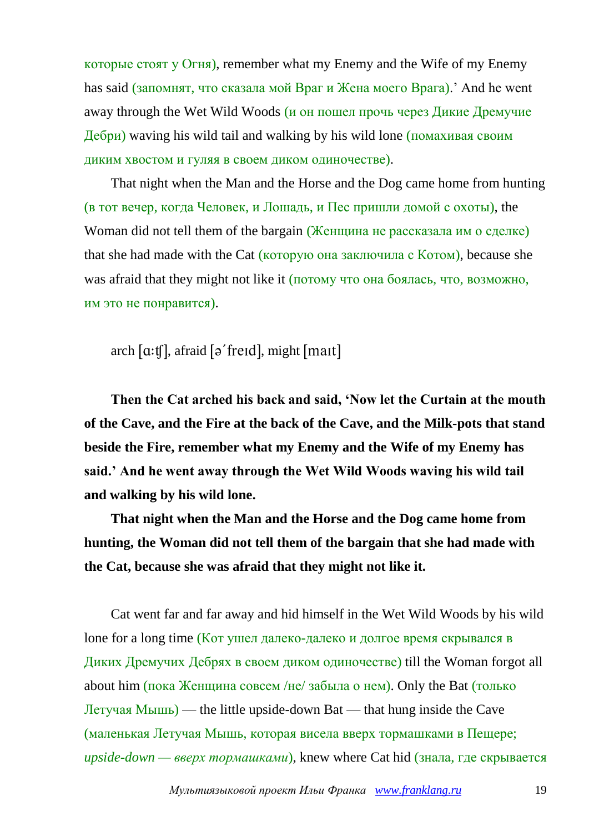которые стоят у Огня), remember what my Enemy and the Wife of my Enemy has said (запомнят, что сказала мой Враг и Жена моего Врага).' And he went away through the Wet Wild Woods (и он пошел прочь через Дикие Дремучие Дебри) waving his wild tail and walking by his wild lone (помахивая своим диким хвостом и гуляя в своем диком одиночестве).

That night when the Man and the Horse and the Dog came home from hunting (в тот вечер, когда Человек, и Лошадь, и Пес пришли домой с охоты), the Woman did not tell them of the bargain (Женщина не рассказала им о сделке) that she had made with the Cat (которую она заключила с Котом), because she was afraid that they might not like it (потому что она боялась, что, возможно, им это не понравится).

arch  $[a:tf]$ , afraid  $[\rho'$  freid], might  $[mait]$ 

**Then the Cat arched his back and said, 'Now let the Curtain at the mouth of the Cave, and the Fire at the back of the Cave, and the Milk-pots that stand beside the Fire, remember what my Enemy and the Wife of my Enemy has said.' And he went away through the Wet Wild Woods waving his wild tail and walking by his wild lone.**

**That night when the Man and the Horse and the Dog came home from hunting, the Woman did not tell them of the bargain that she had made with the Cat, because she was afraid that they might not like it.**

Cat went far and far away and hid himself in the Wet Wild Woods by his wild lone for a long time (Кот ушел далеко-далеко и долгое время скрывался в Диких Дремучих Дебрях в своем диком одиночестве) till the Woman forgot all about him (пока Женщина совсем /не/ забыла о нем). Only the Bat (только Летучая Мышь) — the little upside-down Bat — that hung inside the Cave (маленькая Летучая Мышь, которая висела вверх тормашками в Пещере; *upside-down — вверх тормашками*), knew where Cat hid (знала, где скрывается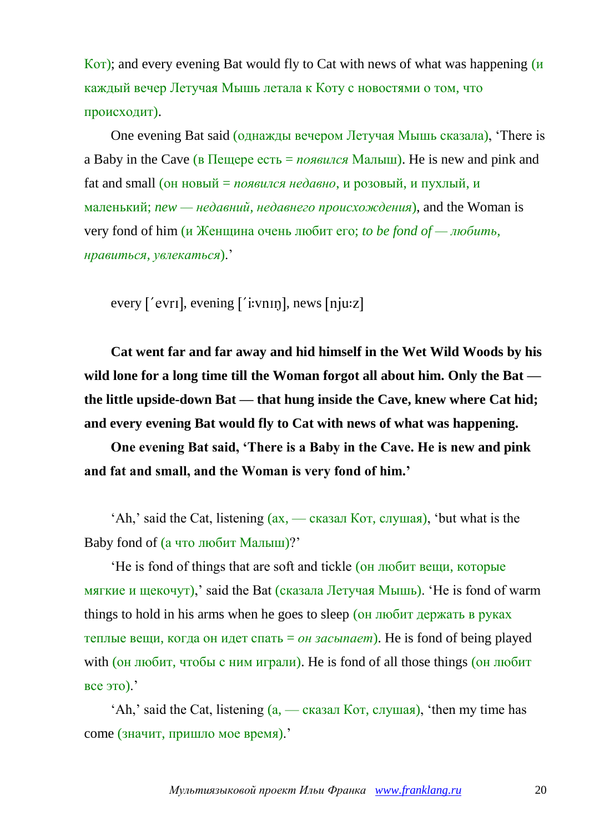Кот); and every evening Bat would fly to Cat with news of what was happening (и каждый вечер Летучая Мышь летала к Коту с новостями о том, что происходит).

One evening Bat said (однажды вечером Летучая Мышь сказала), 'There is a Baby in the Cave (в Пещере есть = *появился* Малыш). He is new and pink and fat and small (он новый = *появился недавно*, и розовый, и пухлый, и маленький; *new — недавний, недавнего происхождения*), and the Woman is very fond of him (и Женщина очень любит его; *to be fond of — любить, нравиться, увлекаться*).'

every ['evri], evening ['i:vnin], news [nju:z]

**Cat went far and far away and hid himself in the Wet Wild Woods by his wild lone for a long time till the Woman forgot all about him. Only the Bat the little upside-down Bat — that hung inside the Cave, knew where Cat hid; and every evening Bat would fly to Cat with news of what was happening.**

**One evening Bat said, 'There is a Baby in the Cave. He is new and pink and fat and small, and the Woman is very fond of him.'**

'Ah,' said the Cat, listening (ах, — сказал Кот, слушая), 'but what is the Baby fond of (а что любит Малыш)?'

'He is fond of things that are soft and tickle (он любит вещи, которые мягкие и щекочут),' said the Bat (сказала Летучая Мышь). 'He is fond of warm things to hold in his arms when he goes to sleep (он любит держать в руках теплые вещи, когда он идет спать = *он засыпает*). He is fond of being played with (он любит, чтобы с ним играли). He is fond of all those things (он любит все это).'

 $'Ah$ ,' said the Cat, listening  $(a, -c$ казал Кот, слушая), 'then my time has come (значит, пришло мое время).'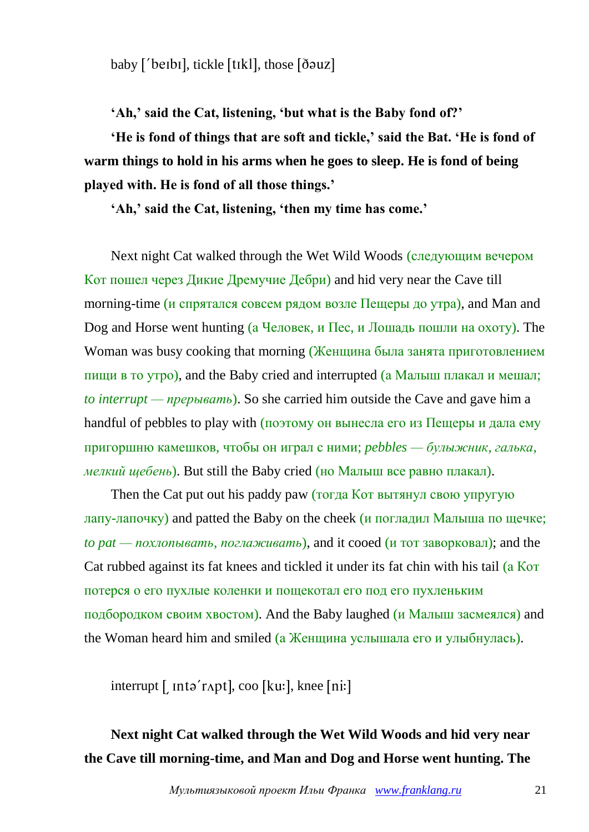baby ['berbi], tickle [tikl], those [douz]

**'Ah,' said the Cat, listening, 'but what is the Baby fond of?'**

**'He is fond of things that are soft and tickle,' said the Bat. 'He is fond of warm things to hold in his arms when he goes to sleep. He is fond of being played with. He is fond of all those things.'**

**'Ah,' said the Cat, listening, 'then my time has come.'**

Next night Cat walked through the Wet Wild Woods (следующим вечером Кот пошел через Дикие Дремучие Дебри) and hid very near the Cave till morning-time (и спрятался совсем рядом возле Пещеры до утра), and Man and Dog and Horse went hunting (а Человек, и Пес, и Лошадь пошли на охоту). The Woman was busy cooking that morning (Женщина была занята приготовлением пищи в то утро), and the Baby cried and interrupted (а Малыш плакал и мешал; *to interrupt — прерывать*). So she carried him outside the Cave and gave him a handful of pebbles to play with  $(no)$  он вынесла его из Пещеры и дала ему пригоршню камешков, чтобы он играл с ними; *pebbles — булыжник, галька, мелкий щебень*). But still the Baby cried (но Малыш все равно плакал).

Then the Cat put out his paddy paw (тогда Кот вытянул свою упругую лапу-лапочку) and patted the Baby on the cheek (и погладил Малыша по щечке; *to pat — похлопывать, поглаживать*), and it cooed (и тот заворковал); and the Cat rubbed against its fat knees and tickled it under its fat chin with his tail (а Кот потерся о его пухлые коленки и пощекотал его под его пухленьким подбородком своим хвостом). And the Baby laughed (и Малыш засмеялся) and the Woman heard him and smiled (а Женщина услышала его и улыбнулась).

 $\int$  interrupt  $\int$  into 'r Apt], coo  $\left[ku:\right]$ , knee  $\left[ni:\right]$ 

# **Next night Cat walked through the Wet Wild Woods and hid very near the Cave till morning-time, and Man and Dog and Horse went hunting. The**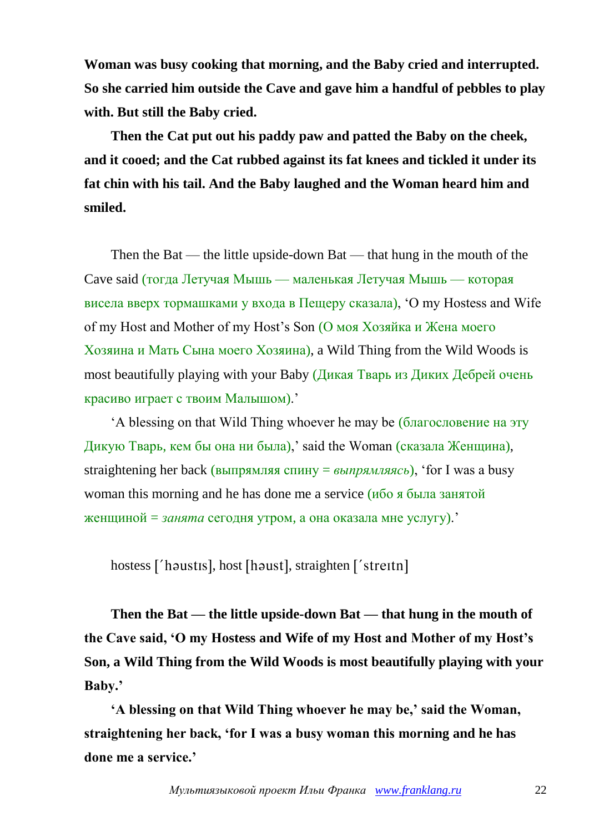**Woman was busy cooking that morning, and the Baby cried and interrupted. So she carried him outside the Cave and gave him a handful of pebbles to play with. But still the Baby cried.**

**Then the Cat put out his paddy paw and patted the Baby on the cheek, and it cooed; and the Cat rubbed against its fat knees and tickled it under its fat chin with his tail. And the Baby laughed and the Woman heard him and smiled.**

Then the Bat — the little upside-down Bat — that hung in the mouth of the Cave said (тогда Летучая Мышь — маленькая Летучая Мышь — которая висела вверх тормашками у входа в Пещеру сказала), 'O my Hostess and Wife of my Host and Mother of my Host's Son (О моя Хозяйка и Жена моего Хозяина и Мать Сына моего Хозяина), a Wild Thing from the Wild Woods is most beautifully playing with your Baby (Дикая Тварь из Диких Дебрей очень красиво играет с твоим Малышом).'

'A blessing on that Wild Thing whoever he may be (благословение на эту Дикую Тварь, кем бы она ни была),' said the Woman (сказала Женщина), straightening her back (выпрямляя спину = *выпрямляясь*), 'for I was a busy woman this morning and he has done me a service (ибо я была занятой женщиной = *занята* сегодня утром, а она оказала мне услугу).'

hostess ['haustis], host [haust], straighten ['streitn]

**Then the Bat — the little upside-down Bat — that hung in the mouth of the Cave said, 'O my Hostess and Wife of my Host and Mother of my Host's Son, a Wild Thing from the Wild Woods is most beautifully playing with your Baby.'**

**'A blessing on that Wild Thing whoever he may be,' said the Woman, straightening her back, 'for I was a busy woman this morning and he has done me a service.'**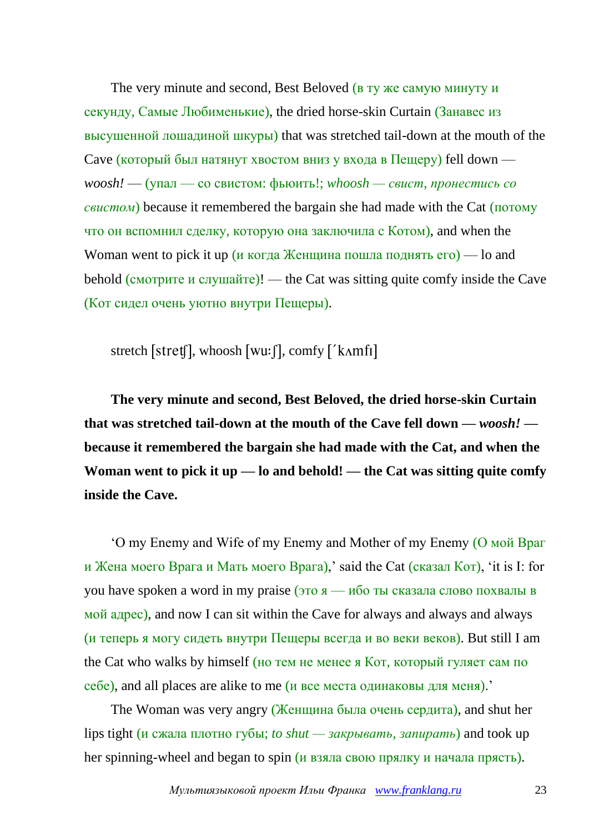The very minute and second, Best Beloved (в ту же самую минуту и секунду, Самые Любименькие), the dried horse-skin Curtain (Занавес из высушенной лошадиной шкуры) that was stretched tail-down at the mouth of the Cave (который был натянут хвостом вниз у входа в Пещеру) fell down *woosh!* — (упал — со свистом: фьюить!; *whoosh — свист, пронестись со свистом*) because it remembered the bargain she had made with the Cat (потому что он вспомнил сделку, которую она заключила с Котом), and when the Woman went to pick it up (и когда Женщина пошла поднять  $ero$ ) — lo and behold (смотрите и слушайте)! — the Cat was sitting quite comfy inside the Cave (Кот сидел очень уютно внутри Пещеры).

stretch [stret], whoosh [wu:  $\int$ ], comfy ['k $\Lambda$ mfi]

**The very minute and second, Best Beloved, the dried horse-skin Curtain that was stretched tail-down at the mouth of the Cave fell down —** *woosh!*  **because it remembered the bargain she had made with the Cat, and when the Woman went to pick it up — lo and behold! — the Cat was sitting quite comfy inside the Cave.**

'O my Enemy and Wife of my Enemy and Mother of my Enemy (О мой Враг и Жена моего Врага и Мать моего Врага),' said the Cat (сказал Кот), 'it is I: for you have spoken a word in my praise (это  $\alpha$  — ибо ты сказала слово похвалы в мой адрес), and now I can sit within the Cave for always and always and always (и теперь я могу сидеть внутри Пещеры всегда и во веки веков). But still I am the Cat who walks by himself (но тем не менее я Кот, который гуляет сам по себе), and all places are alike to me (и все места одинаковы для меня).'

The Woman was very angry (Женщина была очень сердита), and shut her lips tight (и сжала плотно губы; *to shut — закрывать, запирать*) and took up her spinning-wheel and began to spin (и взяла свою прялку и начала прясть).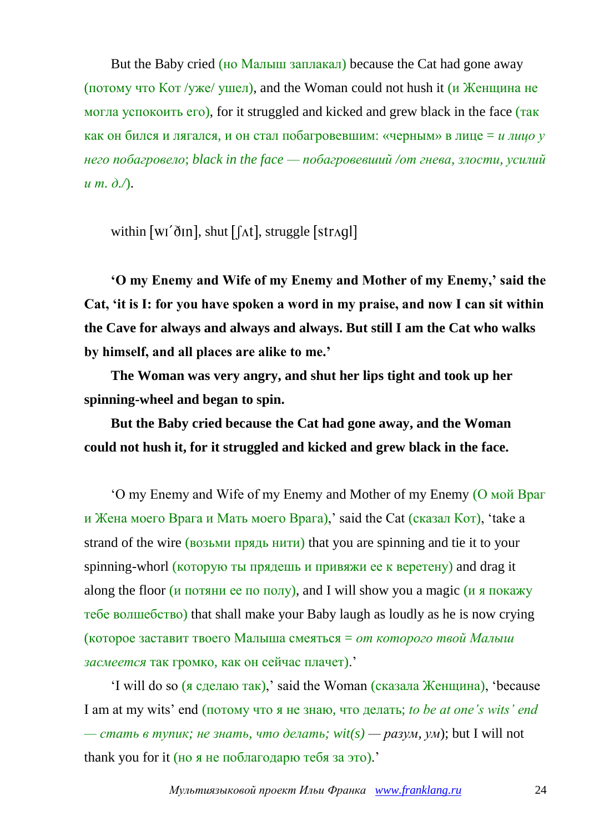But the Baby cried (но Малыш заплакал) because the Cat had gone away (потому что  $K$ от /уже/ ушел), and the Woman could not hush it (и Женщина не могла успокоить его), for it struggled and kicked and grew black in the face (так как он бился и лягался, и он стал побагровевшим: «черным» в лице = *и лицо у него побагровело*; *black in the face — побагровевший /от гнева, злости, усилий и т. д./*).

within  $[w'_0]$ , shut  $[f_0]$ , struggle  $[str_0]$ 

**'O my Enemy and Wife of my Enemy and Mother of my Enemy,' said the Cat, 'it is I: for you have spoken a word in my praise, and now I can sit within the Cave for always and always and always. But still I am the Cat who walks by himself, and all places are alike to me.'**

**The Woman was very angry, and shut her lips tight and took up her spinning-wheel and began to spin.**

**But the Baby cried because the Cat had gone away, and the Woman could not hush it, for it struggled and kicked and grew black in the face.**

'O my Enemy and Wife of my Enemy and Mother of my Enemy (О мой Враг и Жена моего Врага и Мать моего Врага),' said the Cat (сказал Кот), 'take a strand of the wire (возьми прядь нити) that you are spinning and tie it to your spinning-whorl (которую ты прядешь и привяжи ее к веретену) and drag it along the floor (и потяни ее по полу), and I will show you a magic (и я покажу тебе волшебство) that shall make your Baby laugh as loudly as he is now crying (которое заставит твоего Малыша смеяться = *от которого твой Малыш засмеется* так громко, как он сейчас плачет).'

'I will do so (я сделаю так),' said the Woman (сказала Женщина), 'because I am at my wits' end (потому что я не знаю, что делать; *to be at one's wits' end — стать в тупик; не знать, что делать; wit(s) — разум, ум*); but I will not thank you for it (но я не поблагодарю тебя за это).'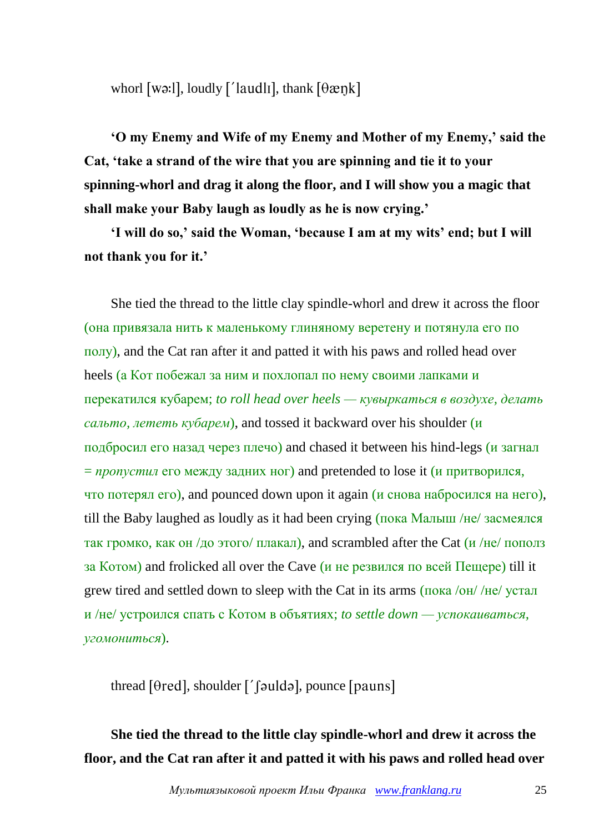whorl [wə:], loudly ['laudli], thank  $[\theta \text{ægk}]$ 

**'O my Enemy and Wife of my Enemy and Mother of my Enemy,' said the Cat, 'take a strand of the wire that you are spinning and tie it to your spinning-whorl and drag it along the floor, and I will show you a magic that shall make your Baby laugh as loudly as he is now crying.'**

**'I will do so,' said the Woman, 'because I am at my wits' end; but I will not thank you for it.'**

She tied the thread to the little clay spindle-whorl and drew it across the floor (она привязала нить к маленькому глиняному веретену и потянула его по полу), and the Cat ran after it and patted it with his paws and rolled head over heels (а Кот побежал за ним и похлопал по нему своими лапками и перекатился кубарем; *to roll head over heels — кувыркаться в воздухе, делать сальто, лететь кубарем*), and tossed it backward over his shoulder (и подбросил его назад через плечо) and chased it between his hind-legs (и загнал = *пропустил* его между задних ног) and pretended to lose it (и притворился, что потерял его), and pounced down upon it again (и снова набросился на него), till the Baby laughed as loudly as it had been crying (пока Малыш /не/ засмеялся так громко, как он /до этого/ плакал), and scrambled after the Cat (и /не/ пополз за Котом) and frolicked all over the Cave (и не резвился по всей Пещере) till it grew tired and settled down to sleep with the Cat in its arms (пока /он/ /не/ устал и /не/ устроился спать с Котом в объятиях; *to settle down — успокаиваться, угомониться*).

thread  $[0 \text{red}]$ , shoulder  $[0 \text{ red}]$ , pounce  $[$  pauns $]$ 

# **She tied the thread to the little clay spindle-whorl and drew it across the floor, and the Cat ran after it and patted it with his paws and rolled head over**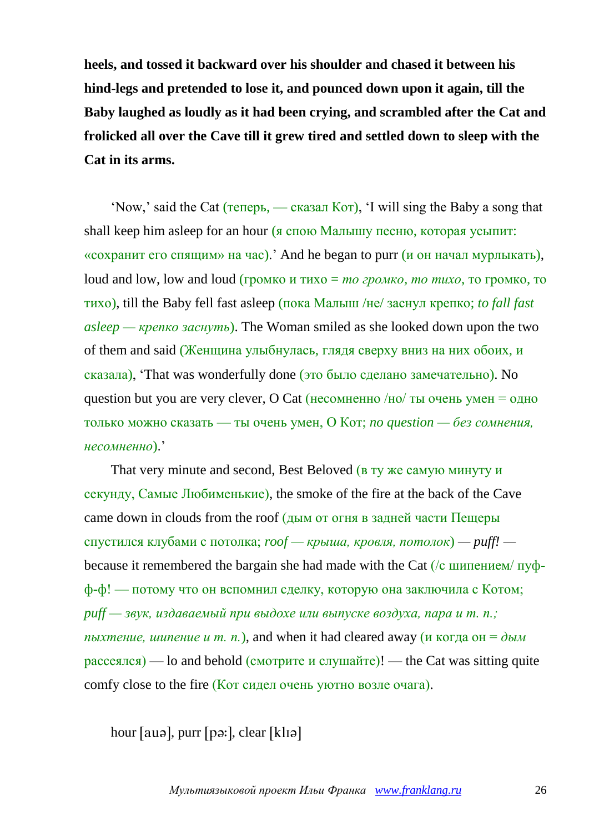**heels, and tossed it backward over his shoulder and chased it between his hind-legs and pretended to lose it, and pounced down upon it again, till the Baby laughed as loudly as it had been crying, and scrambled after the Cat and frolicked all over the Cave till it grew tired and settled down to sleep with the Cat in its arms.**

'Now,' said the Cat (теперь, — сказал Кот), 'I will sing the Baby a song that shall keep him asleep for an hour (я спою Малышу песню, которая усыпит: «сохранит его спящим» на час).' And he began to purr (и он начал мурлыкать), loud and low, low and loud (громко и тихо = *то громко, то тихо*, то громко, то тихо), till the Baby fell fast asleep (пока Малыш /не/ заснул крепко; *to fall fast asleep — крепко заснуть*). The Woman smiled as she looked down upon the two of them and said (Женщина улыбнулась, глядя сверху вниз на них обоих, и сказала), 'That was wonderfully done (это было сделано замечательно). No question but you are very clever, O Cat (несомненно  $/$ но  $/$ ты очень умен = одно только можно сказать — ты очень умен, О Кот; *no question — без сомнения, несомненно*).'

That very minute and second, Best Beloved (в ту же самую минуту и секунду, Самые Любименькие), the smoke of the fire at the back of the Cave came down in clouds from the roof (дым от огня в задней части Пещеры спустился клубами с потолка; *roof — крыша, кровля, потолок*) *— puff!*  because it remembered the bargain she had made with the Cat (/с шипением/ пуфф-ф! — потому что он вспомнил сделку, которую она заключила с Котом; *puff — звук, издаваемый при выдохе или выпуске воздуха, пара и т. п.; пыхтение, шипение и т. п.*), and when it had cleared away (и когда он =  $\partial$ ым  $p_{\text{accessICA}}$ ) — lo and behold (смотрите и слушайте)! — the Cat was sitting quite comfy close to the fire (Кот сидел очень уютно возле очага).

hour  $[auə]$ , purr  $[pə:]$ , clear  $[k]$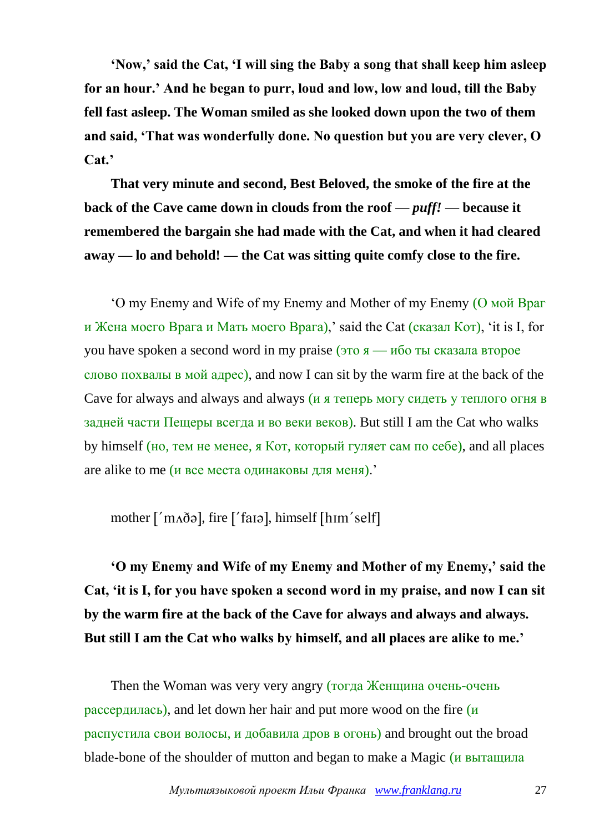**'Now,' said the Cat, 'I will sing the Baby a song that shall keep him asleep for an hour.' And he began to purr, loud and low, low and loud, till the Baby fell fast asleep. The Woman smiled as she looked down upon the two of them and said, 'That was wonderfully done. No question but you are very clever, O Cat.'**

**That very minute and second, Best Beloved, the smoke of the fire at the back of the Cave came down in clouds from the roof** *— puff! —* **because it remembered the bargain she had made with the Cat, and when it had cleared away — lo and behold! — the Cat was sitting quite comfy close to the fire.**

'O my Enemy and Wife of my Enemy and Mother of my Enemy (О мой Враг и Жена моего Врага и Мать моего Врага),' said the Cat (сказал Кот), 'it is I, for you have spoken a second word in my praise  $(3T_0 \times 10^{-10})$  TH CKasana второе слово похвалы в мой адрес), and now I can sit by the warm fire at the back of the Cave for always and always and always (и я теперь могу сидеть у теплого огня в задней части Пещеры всегда и во веки веков). But still I am the Cat who walks by himself (но, тем не менее, я Кот, который гуляет сам по себе), and all places are alike to me (и все места одинаковы для меня).'

mother  $\lceil \n{'}m \Delta \delta \rho \rceil$ , fire  $\lceil \n{'}\n{~f} \rangle$  faral, himself  $\lceil \n{~h} \rceil$ 

**'O my Enemy and Wife of my Enemy and Mother of my Enemy,' said the Cat, 'it is I, for you have spoken a second word in my praise, and now I can sit by the warm fire at the back of the Cave for always and always and always. But still I am the Cat who walks by himself, and all places are alike to me.'**

Then the Woman was very very angry (тогда Женщина очень-очень рассердилась), and let down her hair and put more wood on the fire  $(\mu)$ распустила свои волосы, и добавила дров в огонь) and brought out the broad blade-bone of the shoulder of mutton and began to make a Magic (и вытащила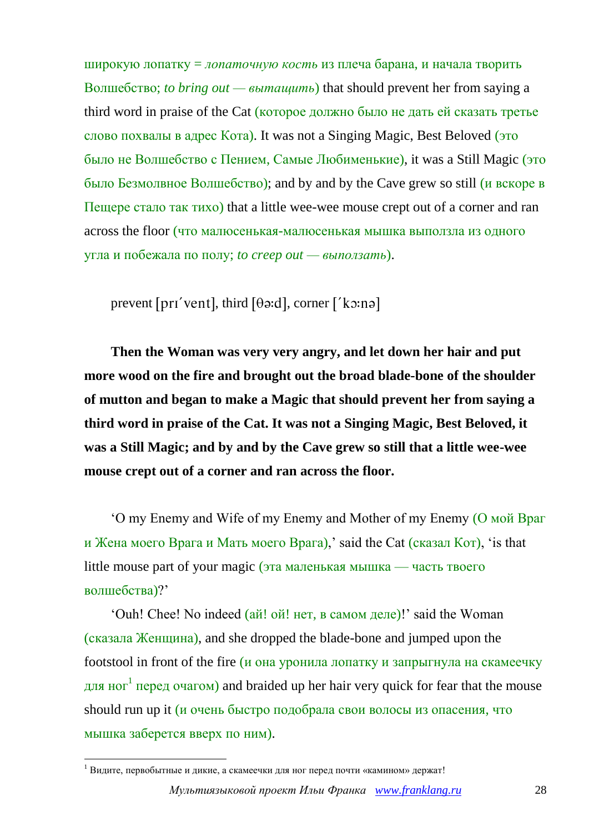широкую лопатку = *лопаточную кость* из плеча барана, и начала творить Волшебство; *to bring out — вытащить*) that should prevent her from saying a third word in praise of the Cat (которое должно было не дать ей сказать третье слово похвалы в адрес Кота). It was not a Singing Magic, Best Beloved (это было не Волшебство с Пением, Самые Любименькие), it was a Still Magic (это было Безмолвное Волшебство); and by and by the Cave grew so still (и вскоре в Пещере стало так тихо) that a little wee-wee mouse crept out of a corner and ran across the floor (что малюсенькая-малюсенькая мышка выползла из одного угла и побежала по полу; *to creep out — выползать*).

prevent [prɪ'vent], third  $[\theta \cdot d]$ , corner ['ko:nə]

**Then the Woman was very very angry, and let down her hair and put more wood on the fire and brought out the broad blade-bone of the shoulder of mutton and began to make a Magic that should prevent her from saying a third word in praise of the Cat. It was not a Singing Magic, Best Beloved, it was a Still Magic; and by and by the Cave grew so still that a little wee-wee mouse crept out of a corner and ran across the floor.**

'O my Enemy and Wife of my Enemy and Mother of my Enemy (О мой Враг и Жена моего Врага и Мать моего Врага),' said the Cat (сказал Кот), 'is that little mouse part of your magic (эта маленькая мышка — часть твоего волшебства)?'

'Ouh! Chee! No indeed (ай! ой! нет, в самом деле)!' said the Woman (сказала Женщина), and she dropped the blade-bone and jumped upon the footstool in front of the fire (и она уронила лопатку и запрыгнула на скамеечку для ног<sup>1</sup> перед очагом) and braided up her hair very quick for fear that the mouse should run up it (и очень быстро подобрала свои волосы из опасения, что мышка заберется вверх по ним).

1

 $1$  Видите, первобытные и дикие, а скамеечки для ног перед почти «камином» держат!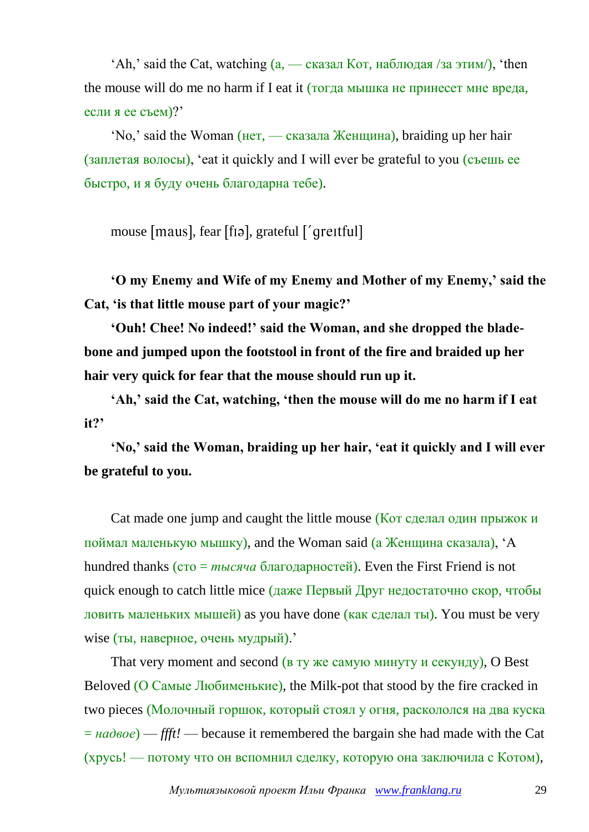$'Ah$ ,' said the Cat, watching  $(a, \text{---} c$ казал Кот, наблюдая /за этим/), 'then the mouse will do me no harm if I eat it (тогда мышка не принесет мне вреда, если я ее съем)?'

'No,' said the Woman (нет, — сказала Женщина), braiding up her hair (заплетая волосы), 'eat it quickly and I will ever be grateful to you (съешь ее быстро, и я буду очень благодарна тебе).

mouse [maus], fear [fɪə], grateful ['qreitful]

**'O my Enemy and Wife of my Enemy and Mother of my Enemy,' said the Cat, 'is that little mouse part of your magic?'**

**'Ouh! Chee! No indeed!' said the Woman, and she dropped the bladebone and jumped upon the footstool in front of the fire and braided up her hair very quick for fear that the mouse should run up it.**

**'Ah,' said the Cat, watching, 'then the mouse will do me no harm if I eat it?'** 

**'No,' said the Woman, braiding up her hair, 'eat it quickly and I will ever be grateful to you.**

Cat made one jump and caught the little mouse (Кот сделал один прыжок и поймал маленькую мышку), and the Woman said (а Женщина сказала), 'A hundred thanks (сто = *тысяча* благодарностей). Even the First Friend is not quick enough to catch little mice (даже Первый Друг недостаточно скор, чтобы ловить маленьких мышей) as you have done (как сделал ты). You must be very wise (ты, наверное, очень мудрый).'

That very moment and second (в ту же самую минуту и секунду), O Best Beloved (О Самые Любименькие), the Milk-pot that stood by the fire cracked in two pieces (Молочный горшок, который стоял у огня, раскололся на два куска  $= \mu a \partial \theta$ ee) — *ffft!* — because it remembered the bargain she had made with the Cat (хрусь! — потому что он вспомнил сделку, которую она заключила с Котом),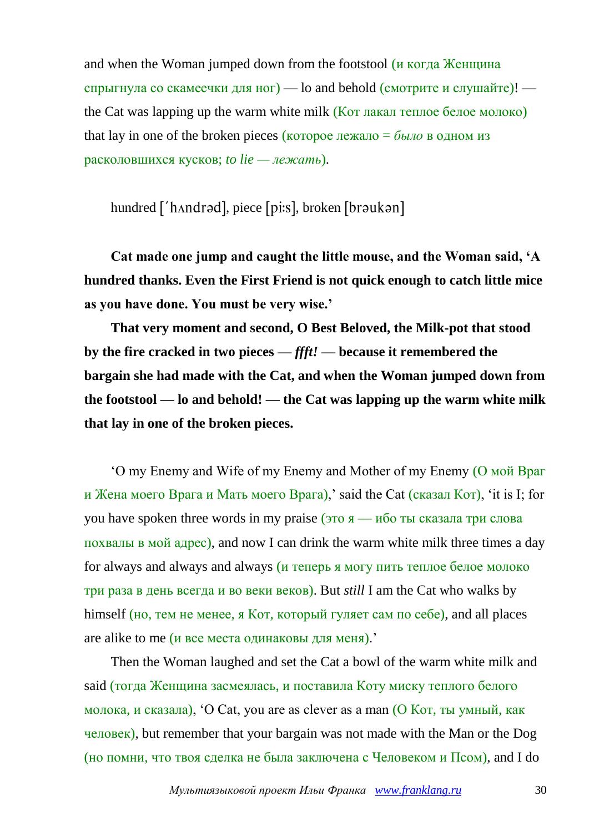and when the Woman jumped down from the footstool (и когда Женщина спрыгнула со скамеечки для ног) — lo and behold (смотрите и слушайте)! the Cat was lapping up the warm white milk (Кот лакал теплое белое молоко) that lay in one of the broken pieces (которое лежало =  $\delta_{b}$  *в* одном из расколовшихся кусков; *to lie — лежать*).

hundred ['hʌndrəd], piece [pi:s], broken [brəukən]

**Cat made one jump and caught the little mouse, and the Woman said, 'A hundred thanks. Even the First Friend is not quick enough to catch little mice as you have done. You must be very wise.'**

**That very moment and second, O Best Beloved, the Milk-pot that stood by the fire cracked in two pieces —** *ffft!* **— because it remembered the bargain she had made with the Cat, and when the Woman jumped down from the footstool — lo and behold! — the Cat was lapping up the warm white milk that lay in one of the broken pieces.**

'O my Enemy and Wife of my Enemy and Mother of my Enemy (О мой Враг и Жена моего Врага и Мать моего Врага),' said the Cat (сказал Кот), 'it is I; for you have spoken three words in my praise (это  $\alpha$  — ибо ты сказала три слова похвалы в мой адрес), and now I can drink the warm white milk three times a day for always and always and always (и теперь я могу пить теплое белое молоко три раза в день всегда и во веки веков). But *still* I am the Cat who walks by himself (но, тем не менее, я Кот, который гуляет сам по себе), and all places are alike to me (и все места одинаковы для меня).'

Then the Woman laughed and set the Cat a bowl of the warm white milk and said (тогда Женщина засмеялась, и поставила Коту миску теплого белого молока, и сказала), 'O Cat, you are as clever as a man (О Кот, ты умный, как человек), but remember that your bargain was not made with the Man or the Dog (но помни, что твоя сделка не была заключена с Человеком и Псом), and I do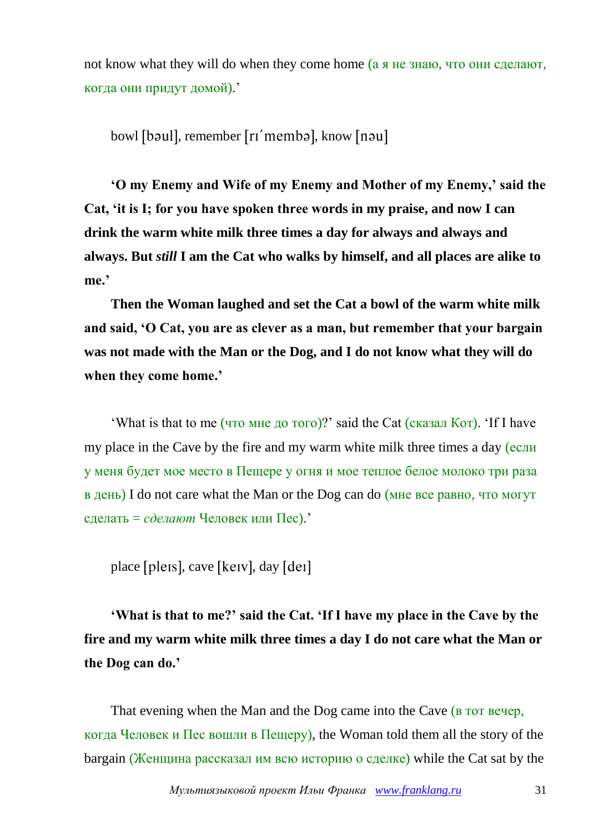not know what they will do when they come home (а я не знаю, что они сделают, когда они придут домой).'

bowl [bəul], remember [rɪ'membə], know [nəu]

**'O my Enemy and Wife of my Enemy and Mother of my Enemy,' said the Cat, 'it is I; for you have spoken three words in my praise, and now I can drink the warm white milk three times a day for always and always and always. But** *still* **I am the Cat who walks by himself, and all places are alike to me.'**

**Then the Woman laughed and set the Cat a bowl of the warm white milk and said, 'O Cat, you are as clever as a man, but remember that your bargain was not made with the Man or the Dog, and I do not know what they will do when they come home.'**

'What is that to me (что мне до того)?' said the Cat (сказал Кот). 'If I have my place in the Cave by the fire and my warm white milk three times a day (если у меня будет мое место в Пещере у огня и мое теплое белое молоко три раза в день) I do not care what the Man or the Dog can do (мне все равно, что могут сделать = *сделают* Человек или Пес).'

place [pleɪs], cave [keɪv], day [deɪ]

**'What is that to me?' said the Cat. 'If I have my place in the Cave by the fire and my warm white milk three times a day I do not care what the Man or the Dog can do.'**

That evening when the Man and the Dog came into the Cave (**B** TOT Beyep, когда Человек и Пес вошли в Пещеру), the Woman told them all the story of the bargain (Женщина рассказал им всю историю о сделке) while the Cat sat by the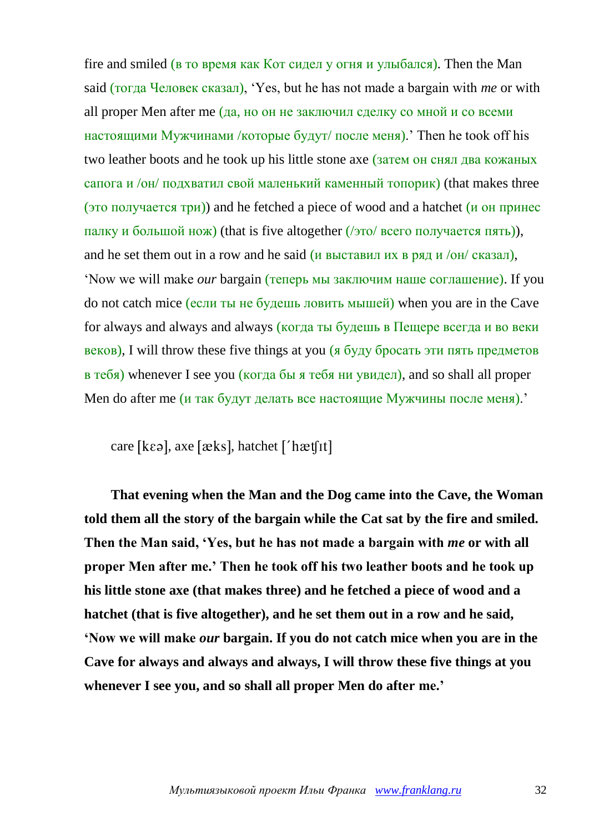fire and smiled (в то время как Кот сидел у огня и улыбался). Then the Man said (тогда Человек сказал), 'Yes, but he has not made a bargain with *me* or with all proper Men after me (да, но он не заключил сделку со мной и со всеми настоящими Мужчинами /которые будут/ после меня).' Then he took off his two leather boots and he took up his little stone axe (затем он снял два кожаных сапога и /он/ подхватил свой маленький каменный топорик) (that makes three (это получается три)) and he fetched a piece of wood and a hatchet (и он принес палку и большой нож) (that is five altogether (/это/ всего получается пять)), and he set them out in a row and he said (*и выставил их в ряд и /он/ сказал*). 'Now we will make *our* bargain (теперь мы заключим наше соглашение). If you do not catch mice (если ты не будешь ловить мышей) when you are in the Cave for always and always and always (когда ты будешь в Пещере всегда и во веки веков), I will throw these five things at you (я буду бросать эти пять предметов в тебя) whenever I see you (когда бы я тебя ни увидел), and so shall all proper Men do after me (и так будут делать все настоящие Мужчины после меня).'

care [ $k\epsilon \partial$ ], axe [ $\alpha$ ks], hatchet [' $h$ æt[It]

**That evening when the Man and the Dog came into the Cave, the Woman told them all the story of the bargain while the Cat sat by the fire and smiled. Then the Man said, 'Yes, but he has not made a bargain with** *me* **or with all proper Men after me.' Then he took off his two leather boots and he took up his little stone axe (that makes three) and he fetched a piece of wood and a hatchet (that is five altogether), and he set them out in a row and he said, 'Now we will make** *our* **bargain. If you do not catch mice when you are in the Cave for always and always and always, I will throw these five things at you whenever I see you, and so shall all proper Men do after me.'**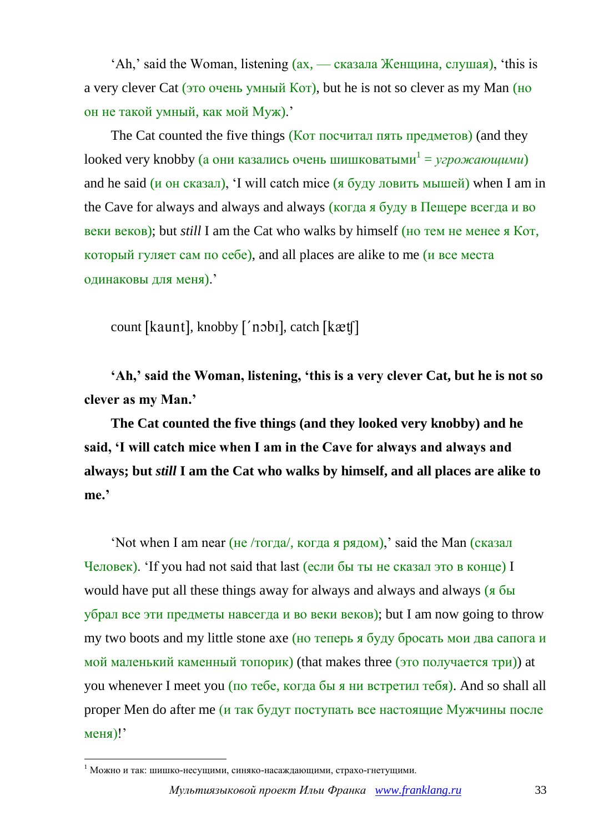'Ah,' said the Woman, listening (ах, — сказала Женщина, слушая), 'this is a very clever Cat (это очень умный Кот), but he is not so clever as my Man (но он не такой умный, как мой Муж).'

The Cat counted the five things (Кот посчитал пять предметов) (and they looked very knobby (а они казались очень шишковатыми<sup>1</sup> = *угрожающими*) and he said ( $\mu$  он сказал), 'I will catch mice (я буду ловить мышей) when I am in the Cave for always and always and always (когда я буду в Пещере всегда и во веки веков); but *still* I am the Cat who walks by himself (но тем не менее я Кот, который гуляет сам по себе), and all places are alike to me (и все места одинаковы для меня).'

count [kaunt], knobby ['nobi], catch [kætf]

**'Ah,' said the Woman, listening, 'this is a very clever Cat, but he is not so clever as my Man.'**

**The Cat counted the five things (and they looked very knobby) and he said, 'I will catch mice when I am in the Cave for always and always and always; but** *still* **I am the Cat who walks by himself, and all places are alike to me.'**

'Not when I am near (не /тогда/, когда я рядом),' said the Man (сказал Человек). 'If you had not said that last (если бы ты не сказал это в конце) I would have put all these things away for always and always and always (я бы убрал все эти предметы навсегда и во веки веков); but I am now going to throw my two boots and my little stone axe (но теперь я буду бросать мои два сапога и мой маленький каменный топорик) (that makes three (это получается три)) at you whenever I meet you (по тебе, когда бы я ни встретил тебя). And so shall all proper Men do after me (и так будут поступать все настоящие Мужчины после меня)!'

1

 $1$  Можно и так: шишко-несущими, синяко-насаждающими, страхо-гнетущими.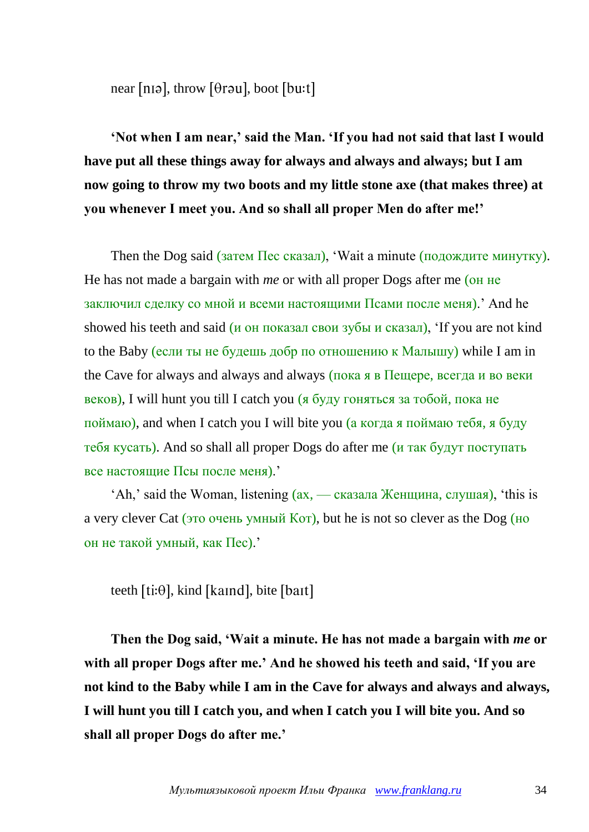near [n1ə], throw [ $\theta$ rəu], boot [bu:t]

**'Not when I am near,' said the Man. 'If you had not said that last I would have put all these things away for always and always and always; but I am now going to throw my two boots and my little stone axe (that makes three) at you whenever I meet you. And so shall all proper Men do after me!'**

Then the Dog said (затем Пес сказал), 'Wait a minute (подождите минутку). He has not made a bargain with *me* or with all proper Dogs after me (он не заключил сделку со мной и всеми настоящими Псами после меня).' And he showed his teeth and said ( $\mu$  on показал свои зубы и сказал), If you are not kind to the Baby (если ты не будешь добр по отношению к Малышу) while I am in the Cave for always and always and always (пока я в Пещере, всегда и во веки веков), I will hunt you till I catch you (я буду гоняться за тобой, пока не поймаю), and when I catch you I will bite you (а когда я поймаю тебя, я буду тебя кусать). And so shall all proper Dogs do after me (и так будут поступать все настоящие Псы после меня).'

'Ah,' said the Woman, listening (ах, — сказала Женщина, слушая), 'this is a very clever Cat (это очень умный Кот), but he is not so clever as the Dog (но он не такой умный, как Пес).'

teeth  $[ti:\theta]$ , kind [kaind], bite [bait]

**Then the Dog said, 'Wait a minute. He has not made a bargain with** *me* **or with all proper Dogs after me.' And he showed his teeth and said, 'If you are not kind to the Baby while I am in the Cave for always and always and always, I will hunt you till I catch you, and when I catch you I will bite you. And so shall all proper Dogs do after me.'**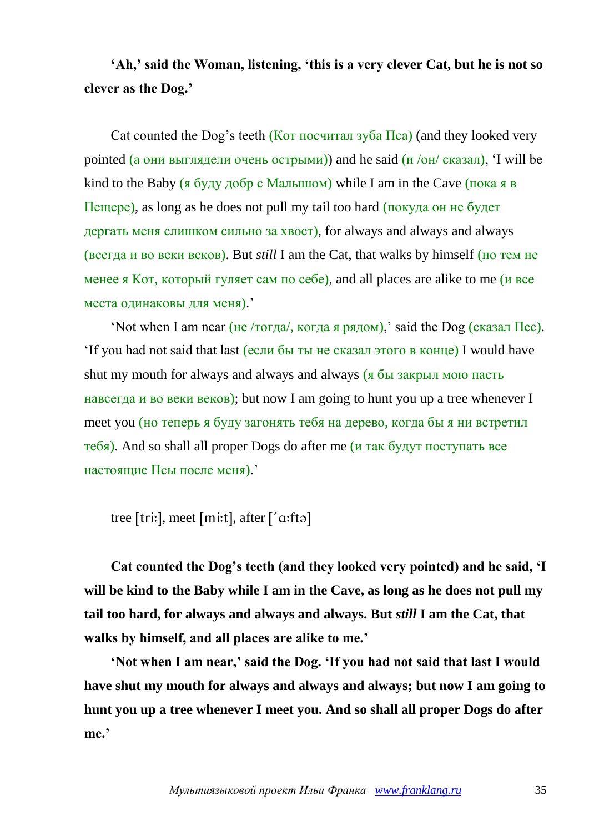## **'Ah,' said the Woman, listening, 'this is a very clever Cat, but he is not so clever as the Dog.'**

Cat counted the Dog's teeth (Кот посчитал зуба  $\Pi$ ca) (and they looked very pointed (а они выглядели очень острыми)) and he said  $(U/(OH)/CH)$  (казал), 'I will be kind to the Baby (я буду добр с Малышом) while I am in the Cave (пока я в Пещере), as long as he does not pull my tail too hard (покуда он не будет дергать меня слишком сильно за хвост), for always and always and always (всегда и во веки веков). But *still* I am the Cat, that walks by himself (но тем не менее я Кот, который гуляет сам по себе), and all places are alike to me (и все места одинаковы для меня).'

'Not when I am near (не /тогда/, когда я рядом),' said the Dog (сказал Пес). 'If you had not said that last (если бы ты не сказал этого в конце) I would have shut my mouth for always and always and always (я бы закрыл мою пасть навсегда и во веки веков); but now I am going to hunt you up a tree whenever I meet you (но теперь я буду загонять тебя на дерево, когда бы я ни встретил тебя). And so shall all proper Dogs do after me (и так будут поступать все настоящие Псы после меня).'

tree [tri:], meet [mi:t], after  $\lceil$ '  $\alpha$ :ftə]

**Cat counted the Dog's teeth (and they looked very pointed) and he said, 'I will be kind to the Baby while I am in the Cave, as long as he does not pull my tail too hard, for always and always and always. But** *still* **I am the Cat, that walks by himself, and all places are alike to me.'**

**'Not when I am near,' said the Dog. 'If you had not said that last I would have shut my mouth for always and always and always; but now I am going to hunt you up a tree whenever I meet you. And so shall all proper Dogs do after me.'**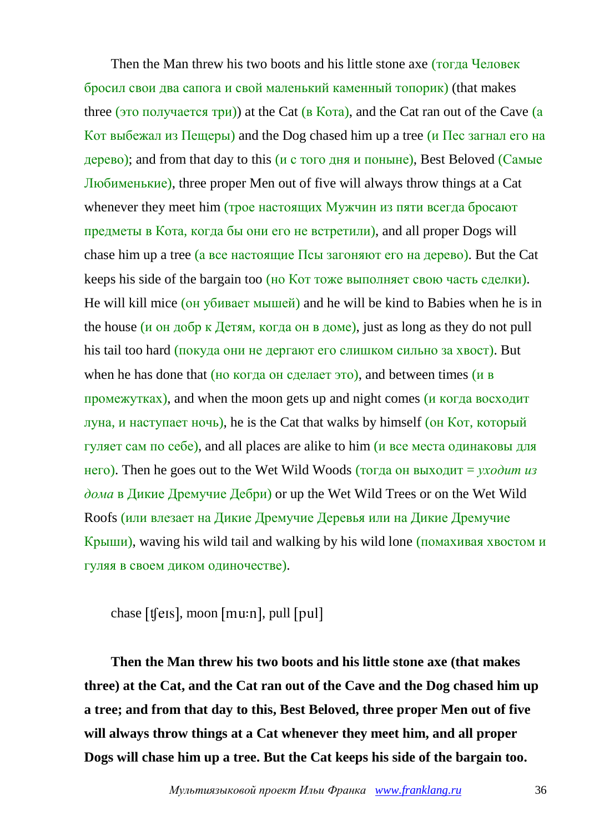Then the Man threw his two boots and his little stone axe (тогда Человек бросил свои два сапога и свой маленький каменный топорик) (that makes three (это получается три)) at the Cat (в Кота), and the Cat ran out of the Cave (а Кот выбежал из Пещеры) and the Dog chased him up a tree (и Пес загнал его на дерево); and from that day to this (и с того дня и поныне), Best Beloved (Самые Любименькие), three proper Men out of five will always throw things at a Cat whenever they meet him (трое настоящих Мужчин из пяти всегда бросают предметы в Кота, когда бы они его не встретили), and all proper Dogs will chase him up a tree (а все настоящие Псы загоняют его на дерево). But the Cat keeps his side of the bargain too (но Кот тоже выполняет свою часть сделки). He will kill mice (он убивает мышей) and he will be kind to Babies when he is in the house ( $\mu$  on добр к Детям, когда он в доме), just as long as they do not pull his tail too hard (покуда они не дергают его слишком сильно за хвост). But when he has done that (но когда он сделает это), and between times ( $\mu$  в промежутках), and when the moon gets up and night comes (и когда восходит луна, и наступает ночь), he is the Cat that walks by himself (он Кот, который гуляет сам по себе), and all places are alike to him (и все места одинаковы для него). Then he goes out to the Wet Wild Woods (тогда он выходит = *уходит из дома* в Дикие Дремучие Дебри) or up the Wet Wild Trees or on the Wet Wild Roofs (или влезает на Дикие Дремучие Деревья или на Дикие Дремучие Крыши), waving his wild tail and walking by his wild lone (помахивая хвостом и гуляя в своем диком одиночестве).

chase  $[$ t $[$ e $[$ s $],$  moon  $[$ mu $:$ n $],$  pull  $[$ pul $]$ 

**Then the Man threw his two boots and his little stone axe (that makes three) at the Cat, and the Cat ran out of the Cave and the Dog chased him up a tree; and from that day to this, Best Beloved, three proper Men out of five will always throw things at a Cat whenever they meet him, and all proper Dogs will chase him up a tree. But the Cat keeps his side of the bargain too.**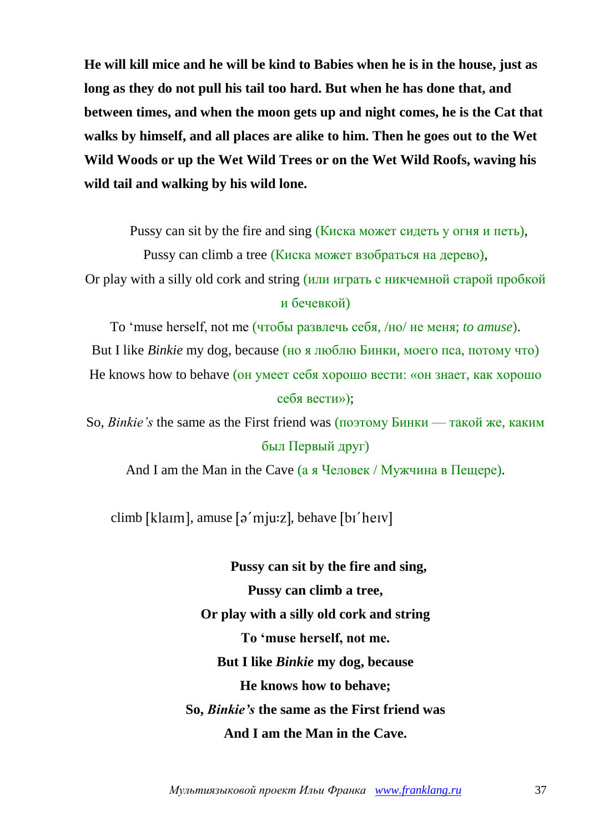**He will kill mice and he will be kind to Babies when he is in the house, just as long as they do not pull his tail too hard. But when he has done that, and between times, and when the moon gets up and night comes, he is the Cat that walks by himself, and all places are alike to him. Then he goes out to the Wet Wild Woods or up the Wet Wild Trees or on the Wet Wild Roofs, waving his wild tail and walking by his wild lone.**

Pussy can sit by the fire and sing (Киска может сидеть у огня и петь),

Pussy can climb a tree (Киска может взобраться на дерево),

Or play with a silly old cork and string (или играть с никчемной старой пробкой и бечевкой)

To 'muse herself, not me (чтобы развлечь себя, /но/ не меня; *to amuse*). But I like *Binkie* my dog, because (но я люблю Бинки, моего пса, потому что) He knows how to behave (он умеет себя хорошо вести: «он знает, как хорошо себя вести»);

So, *Binkie's* the same as the First friend was (поэтому Бинки — такой же, каким был Первый друг)

And I am the Man in the Cave (а я Человек / Мужчина в Пещере).

climb [klaim], amuse  $\lceil \rho'$  mju:z], behave  $\lceil \rho' \text{h} \rangle$ 

**Pussy can sit by the fire and sing, Pussy can climb a tree, Or play with a silly old cork and string To 'muse herself, not me. But I like** *Binkie* **my dog, because He knows how to behave; So,** *Binkie's* **the same as the First friend was And I am the Man in the Cave.**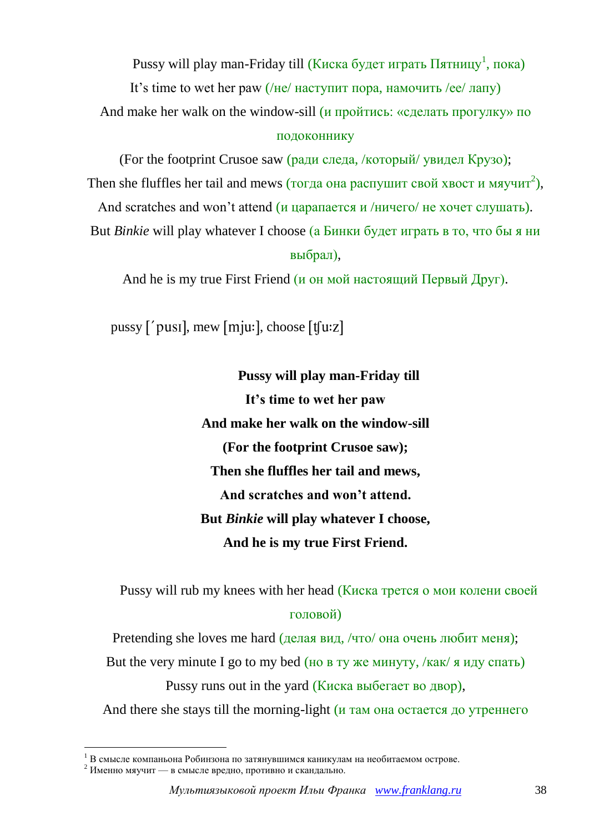Pussy will play man-Friday till (Киска будет играть Пятницу<sup>1</sup>, пока)

It's time to wet her paw  $//He/$  наступит пора, намочить /ee/ лапу)

And make her walk on the window-sill (*и пройтись: «сделать прогулку*» по

## подоконнику

(For the footprint Crusoe saw (ради следа, /который/ увидел Крузо); Then she fluffles her tail and mews (тогда она распушит свой хвост и мяучит<sup>2</sup>),

And scratches and won't attend (и царапается и /ничего/ не хочет слушать).

But *Binkie* will play whatever I choose (а Бинки будет играть в то, что бы я ни выбрал),

And he is my true First Friend (и он мой настоящий Первый Друг).

pussy  $\lceil \text{ 'pus1} \rceil$ , mew  $\lceil \text{m} \rceil$  choose  $\lceil \text{f} \rceil$ 

**Pussy will play man-Friday till It's time to wet her paw And make her walk on the window-sill (For the footprint Crusoe saw); Then she fluffles her tail and mews, And scratches and won't attend. But** *Binkie* **will play whatever I choose, And he is my true First Friend.**

Pussy will rub my knees with her head (Киска трется о мои колени своей головой)

Pretending she loves me hard (делая вид, /что/ она очень любит меня);

But the very minute I go to my bed (но в ту же минуту,  $/$ как $/$  я иду спать)

Pussy runs out in the yard (Киска выбегает во двор),

And there she stays till the morning-light (*и* там она остается до утреннего

1

 $1 B$  смысле компаньона Робинзона по затянувшимся каникулам на необитаемом острове.

 $^{2}$  Именно мяучит — в смысле вредно, противно и скандально.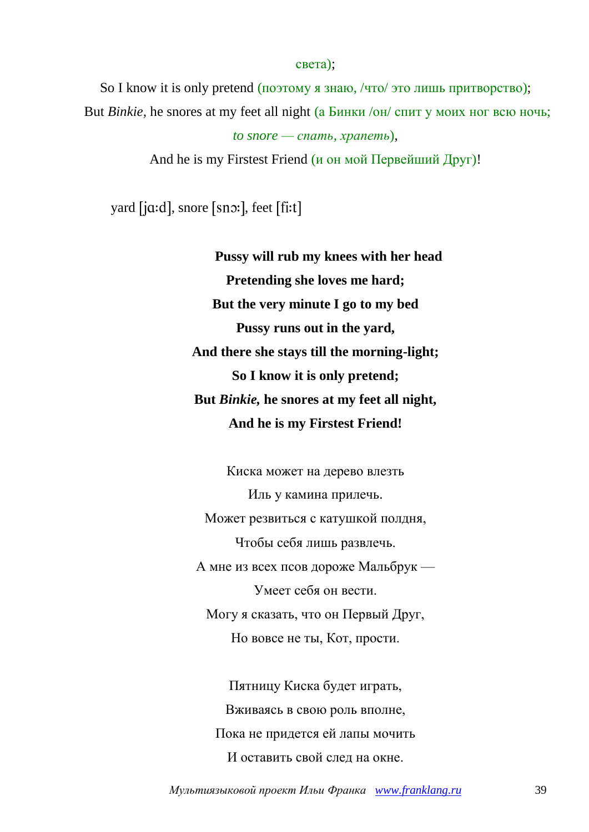So I know it is only pretend (поэтому я знаю, /что/ это лишь притворство); But *Binkie,* he snores at my feet all night (а Бинки /он/ спит у моих ног всю ночь;

света);

```
to snore — спать, храпеть),
```
And he is my Firstest Friend (и он мой Первейший Друг)!

yard [jɑ:d], snore [sno:], feet [fi:t]

**Pussy will rub my knees with her head Pretending she loves me hard; But the very minute I go to my bed Pussy runs out in the yard, And there she stays till the morning-light; So I know it is only pretend; But** *Binkie,* **he snores at my feet all night, And he is my Firstest Friend!**

Киска может на дерево влезть Иль у камина прилечь. Может резвиться с катушкой полдня, Чтобы себя лишь развлечь. А мне из всех псов дороже Мальбрук — Умеет себя он вести. Могу я сказать, что он Первый Друг, Но вовсе не ты, Кот, прости.

Пятницу Киска будет играть, Вживаясь в свою роль вполне, Пока не придется ей лапы мочить И оставить свой след на окне.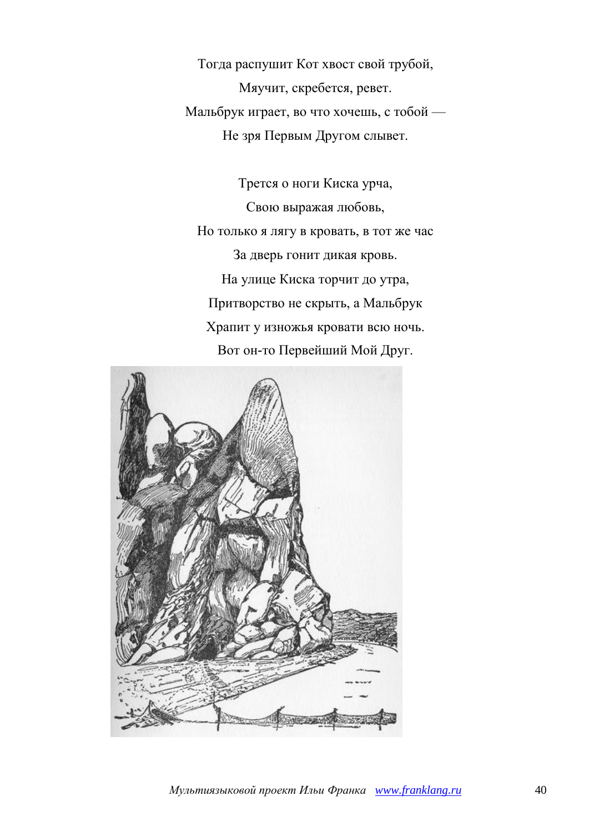Тогда распушит Кот хвост свой трубой, Мяучит, скребется, ревет. Мальбрук играет, во что хочешь, с тобой — Не зря Первым Другом слывет.

Трется о ноги Киска урча, Свою выражая любовь, Но только я лягу в кровать, в тот же час За дверь гонит дикая кровь. На улице Киска торчит до утра, Притворство не скрыть, а Мальбрук Храпит у изножья кровати всю ночь. Вот он-то Первейший Мой Друг.

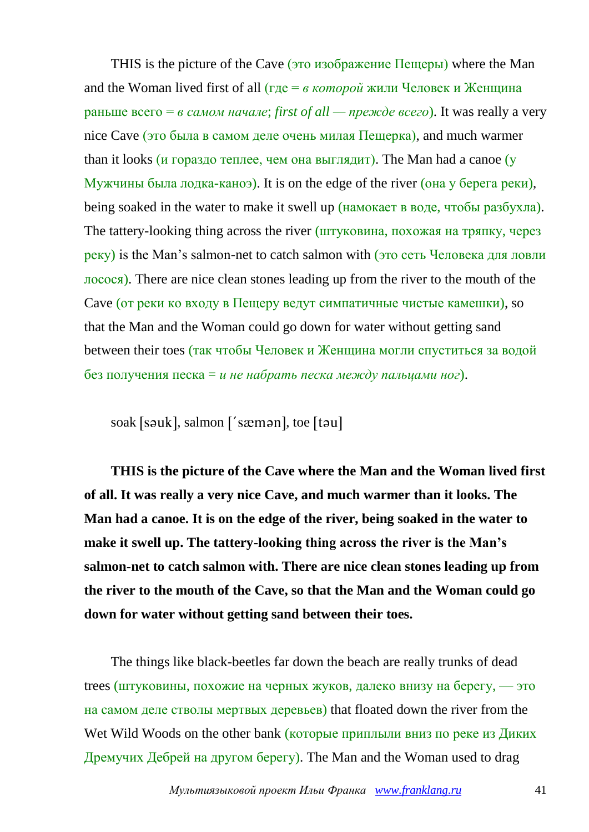THIS is the picture of the Cave (это изображение Пещеры) where the Man and the Woman lived first of all (где = *в которой* жили Человек и Женщина раньше всего = *в самом начале*; *first of all — прежде всего*). It was really a very nice Cave (это была в самом деле очень милая Пещерка), and much warmer than it looks (и гораздо теплее, чем она выглядит). The Man had a canoe ( $\overline{y}$ ) Мужчины была лодка-каноэ). It is on the edge of the river (она у берега реки), being soaked in the water to make it swell up (намокает в воде, чтобы разбухла). The tattery-looking thing across the river (штуковина, похожая на тряпку, через реку) is the Man's salmon-net to catch salmon with (это сеть Человека для ловли лосося). There are nice clean stones leading up from the river to the mouth of the Cave (от реки ко входу в Пещеру ведут симпатичные чистые камешки), so that the Man and the Woman could go down for water without getting sand between their toes (так чтобы Человек и Женщина могли спуститься за водой без получения песка = *и не набрать песка между пальцами ног*).

soak [səuk], salmon ['sæmən], toe [təu]

**THIS is the picture of the Cave where the Man and the Woman lived first of all. It was really a very nice Cave, and much warmer than it looks. The Man had a canoe. It is on the edge of the river, being soaked in the water to make it swell up. The tattery-looking thing across the river is the Man's salmon-net to catch salmon with. There are nice clean stones leading up from the river to the mouth of the Cave, so that the Man and the Woman could go down for water without getting sand between their toes.**

The things like black-beetles far down the beach are really trunks of dead trees (штуковины, похожие на черных жуков, далеко внизу на берегу, — это на самом деле стволы мертвых деревьев) that floated down the river from the Wet Wild Woods on the other bank (которые приплыли вниз по реке из Диких Дремучих Дебрей на другом берегу). The Man and the Woman used to drag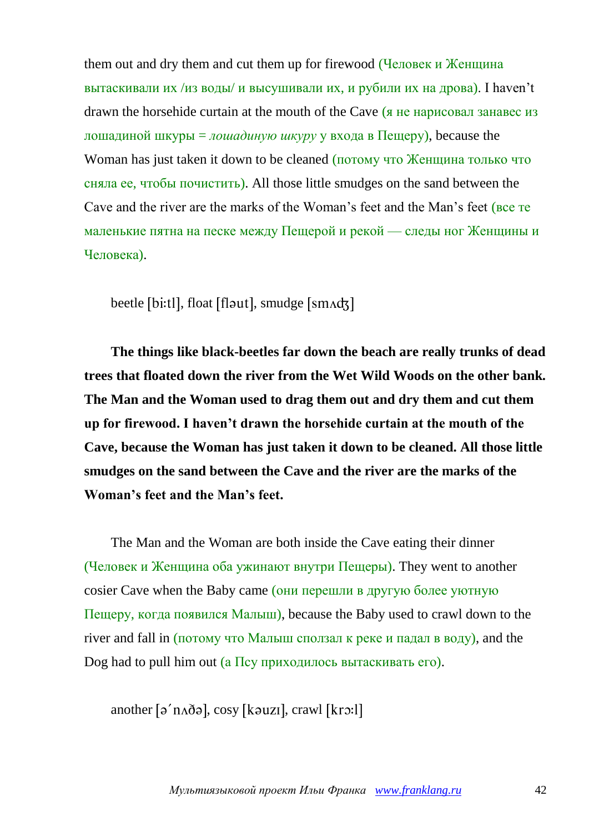them out and dry them and cut them up for firewood (Человек и Женщина вытаскивали их /из воды/ и высушивали их, и рубили их на дрова). I haven't drawn the horsehide curtain at the mouth of the Cave (я не нарисовал занавес из лошадиной шкуры = *лошадиную шкуру* у входа в Пещеру), because the Woman has just taken it down to be cleaned (потому что Женщина только что сняла ее, чтобы почистить). All those little smudges on the sand between the Cave and the river are the marks of the Woman's feet and the Man's feet (все те маленькие пятна на песке между Пещерой и рекой — следы ног Женщины и Человека).

beetle [bi:tl], float [flaut], smudge [sm^d3]

**The things like black-beetles far down the beach are really trunks of dead trees that floated down the river from the Wet Wild Woods on the other bank. The Man and the Woman used to drag them out and dry them and cut them up for firewood. I haven't drawn the horsehide curtain at the mouth of the Cave, because the Woman has just taken it down to be cleaned. All those little smudges on the sand between the Cave and the river are the marks of the Woman's feet and the Man's feet.**

The Man and the Woman are both inside the Cave eating their dinner (Человек и Женщина оба ужинают внутри Пещеры). They went to another cosier Cave when the Baby came (они перешли в другую более уютную Пещеру, когда появился Малыш), because the Baby used to crawl down to the river and fall in (потому что Малыш сползал к реке и падал в воду), and the Dog had to pull him out (а  $\Pi$ су приходилось вытаскивать его).

another  $\lceil \rho' \text{naðə} \rceil$ , cosy  $\lceil \text{kauzl} \rceil$ , crawl  $\lceil \text{krə:} \rceil$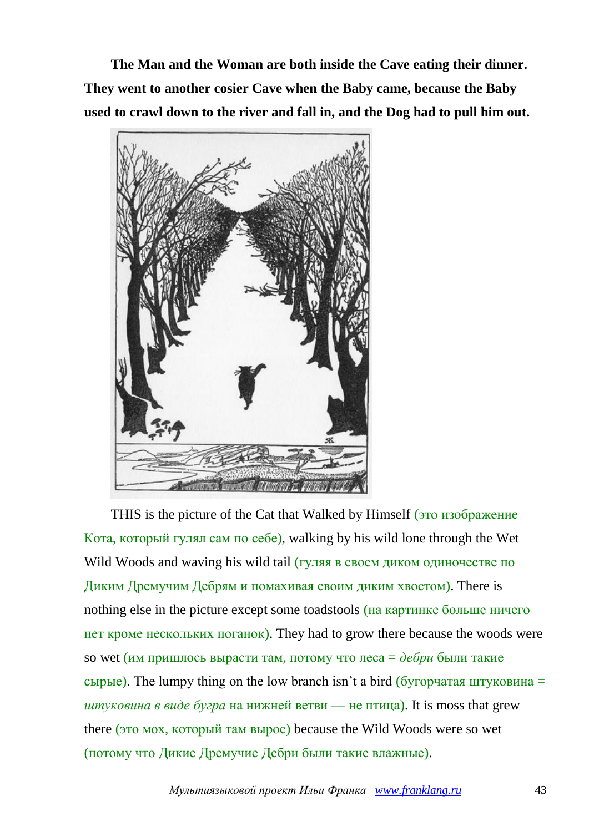**The Man and the Woman are both inside the Cave eating their dinner. They went to another cosier Cave when the Baby came, because the Baby used to crawl down to the river and fall in, and the Dog had to pull him out.**



THIS is the picture of the Cat that Walked by Himself (это изображение Кота, который гулял сам по себе), walking by his wild lone through the Wet Wild Woods and waving his wild tail (гуляя в своем диком одиночестве по Диким Дремучим Дебрям и помахивая своим диким хвостом). There is nothing else in the picture except some toadstools (на картинке больше ничего нет кроме нескольких поганок). They had to grow there because the woods were so wet (им пришлось вырасти там, потому что леса = *дебри* были такие сырые). The lumpy thing on the low branch isn't a bird (бугорчатая штуковина = *штуковина* в виде *бугра* на нижней ветви — не птица). It is moss that grew there (это мох, который там вырос) because the Wild Woods were so wet (потому что Дикие Дремучие Дебри были такие влажные).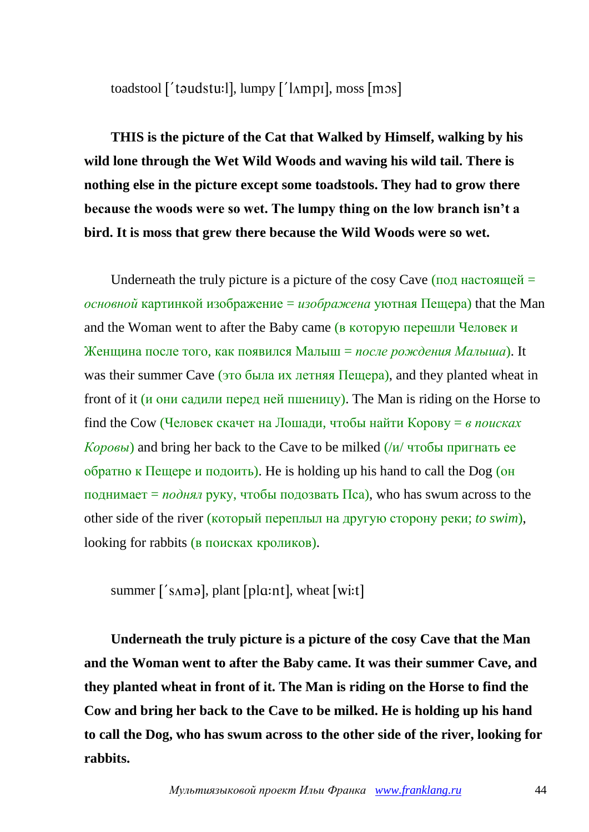toadstool ['taudstu: l], lumpy ['lʌmpɪ], moss [mɔs]

**THIS is the picture of the Cat that Walked by Himself, walking by his wild lone through the Wet Wild Woods and waving his wild tail. There is nothing else in the picture except some toadstools. They had to grow there because the woods were so wet. The lumpy thing on the low branch isn't a bird. It is moss that grew there because the Wild Woods were so wet.**

Underneath the truly picture is a picture of the cosy Cave  $($ под настоящей = *основной* картинкой изображение = *изображена* уютная Пещера) that the Man and the Woman went to after the Baby came (в которую перешли Человек и Женщина после того, как появился Малыш = *после рождения Малыша*). It was their summer Cave (это была их летняя Пещера), and they planted wheat in front of it (и они садили перед ней пшеницу). The Man is riding on the Horse to find the Cow (Человек скачет на Лошади, чтобы найти Корову = *в поисках Коровы*) and bring her back to the Cave to be milked (/и/ чтобы пригнать ее обратно к Пещере и подоить). He is holding up his hand to call the Dog (он поднимает = *поднял* руку, чтобы подозвать Пса), who has swum across to the other side of the river (который переплыл на другую сторону реки; *to swim*), looking for rabbits (в поисках кроликов).

summer  $\lceil \sin \theta \rceil$ , plant  $\lceil \theta \ln \theta \rceil$ , wheat  $\lceil \text{wit} \rceil$ 

**Underneath the truly picture is a picture of the cosy Cave that the Man and the Woman went to after the Baby came. It was their summer Cave, and they planted wheat in front of it. The Man is riding on the Horse to find the Cow and bring her back to the Cave to be milked. He is holding up his hand to call the Dog, who has swum across to the other side of the river, looking for rabbits.**